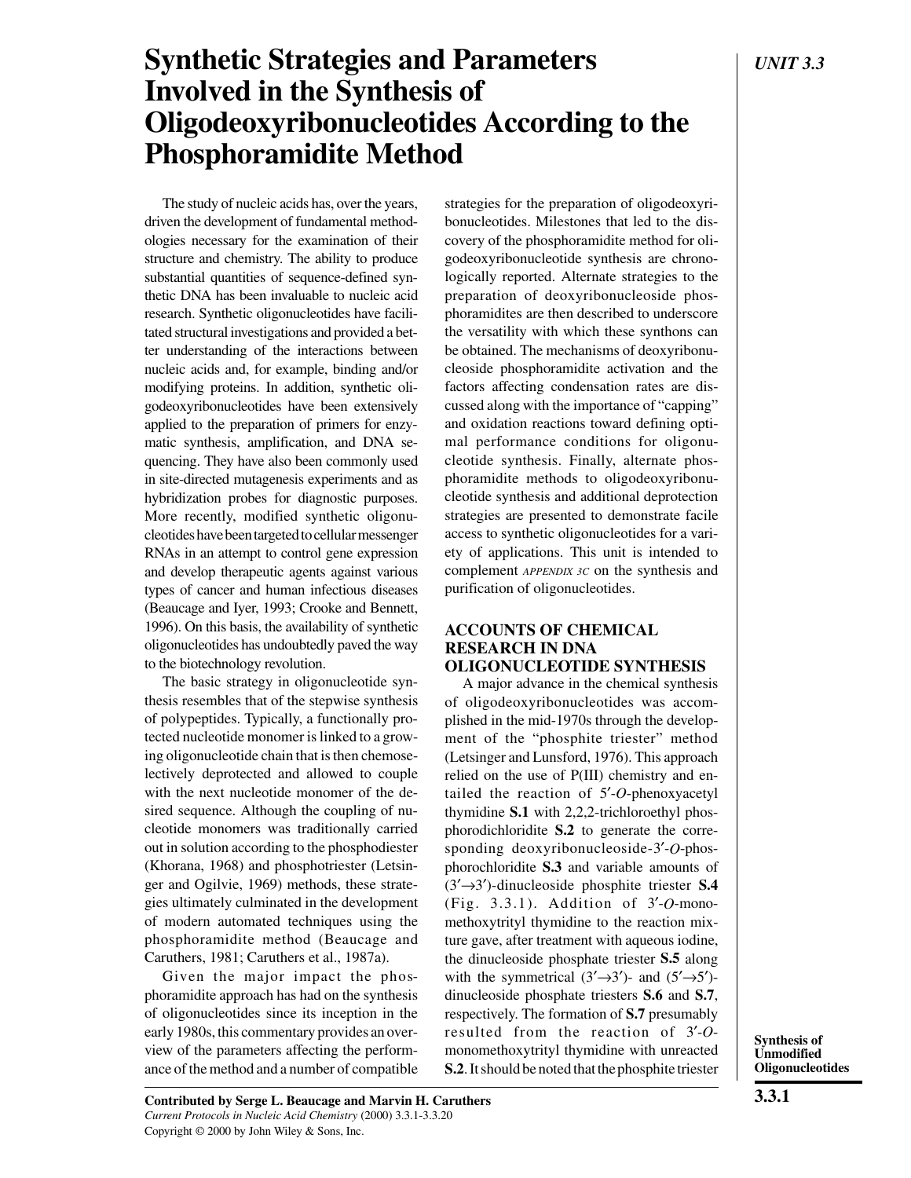# **Synthetic Strategies and Parameters**  $|$  *UNIT 3.3* **Involved in the Synthesis of Oligodeoxyribonucleotides According to the Phosphoramidite Method**

The study of nucleic acids has, over the years, driven the development of fundamental methodologies necessary for the examination of their structure and chemistry. The ability to produce substantial quantities of sequence-defined synthetic DNA has been invaluable to nucleic acid research. Synthetic oligonucleotides have facilitated structural investigations and provided a better understanding of the interactions between nucleic acids and, for example, binding and/or modifying proteins. In addition, synthetic oligodeoxyribonucleotides have been extensively applied to the preparation of primers for enzymatic synthesis, amplification, and DNA sequencing. They have also been commonly used in site-directed mutagenesis experiments and as hybridization probes for diagnostic purposes. More recently, modified synthetic oligonucleotides have been targeted to cellular messenger RNAs in an attempt to control gene expression and develop therapeutic agents against various types of cancer and human infectious diseases (Beaucage and Iyer, 1993; Crooke and Bennett, 1996). On this basis, the availability of synthetic oligonucleotides has undoubtedly paved the way to the biotechnology revolution.

The basic strategy in oligonucleotide synthesis resembles that of the stepwise synthesis of polypeptides. Typically, a functionally protected nucleotide monomer is linked to a growing oligonucleotide chain that is then chemoselectively deprotected and allowed to couple with the next nucleotide monomer of the desired sequence. Although the coupling of nucleotide monomers was traditionally carried out in solution according to the phosphodiester (Khorana, 1968) and phosphotriester (Letsinger and Ogilvie, 1969) methods, these strategies ultimately culminated in the development of modern automated techniques using the phosphoramidite method (Beaucage and Caruthers, 1981; Caruthers et al., 1987a).

Given the major impact the phosphoramidite approach has had on the synthesis of oligonucleotides since its inception in the early 1980s, this commentary provides an overview of the parameters affecting the performance of the method and a number of compatible

strategies for the preparation of oligodeoxyribonucleotides. Milestones that led to the discovery of the phosphoramidite method for oligodeoxyribonucleotide synthesis are chronologically reported. Alternate strategies to the preparation of deoxyribonucleoside phosphoramidites are then described to underscore the versatility with which these synthons can be obtained. The mechanisms of deoxyribonucleoside phosphoramidite activation and the factors affecting condensation rates are discussed along with the importance of "capping" and oxidation reactions toward defining optimal performance conditions for oligonucleotide synthesis. Finally, alternate phosphoramidite methods to oligodeoxyribonucleotide synthesis and additional deprotection strategies are presented to demonstrate facile access to synthetic oligonucleotides for a variety of applications. This unit is intended to complement *APPENDIX 3C* on the synthesis and purification of oligonucleotides.

#### **ACCOUNTS OF CHEMICAL RESEARCH IN DNA OLIGONUCLEOTIDE SYNTHESIS**

A major advance in the chemical synthesis of oligodeoxyribonucleotides was accomplished in the mid-1970s through the development of the "phosphite triester" method (Letsinger and Lunsford, 1976). This approach relied on the use of P(III) chemistry and entailed the reaction of 5′-*O*-phenoxyacetyl thymidine **S.1** with 2,2,2-trichloroethyl phosphorodichloridite **S.2** to generate the corresponding deoxyribonucleoside-3′-*O*-phosphorochloridite **S.3** and variable amounts of (3′→3′)-dinucleoside phosphite triester **S.4** (Fig. 3.3.1). Addition of 3′-*O*-monomethoxytrityl thymidine to the reaction mixture gave, after treatment with aqueous iodine, the dinucleoside phosphate triester **S.5** along with the symmetrical  $(3' \rightarrow 3')$ - and  $(5' \rightarrow 5')$ dinucleoside phosphate triesters **S.6** and **S.7**, respectively. The formation of **S.7** presumably resulted from the reaction of 3′-*O*monomethoxytrityl thymidine with unreacted **S.2**. It should be noted that the phosphite triester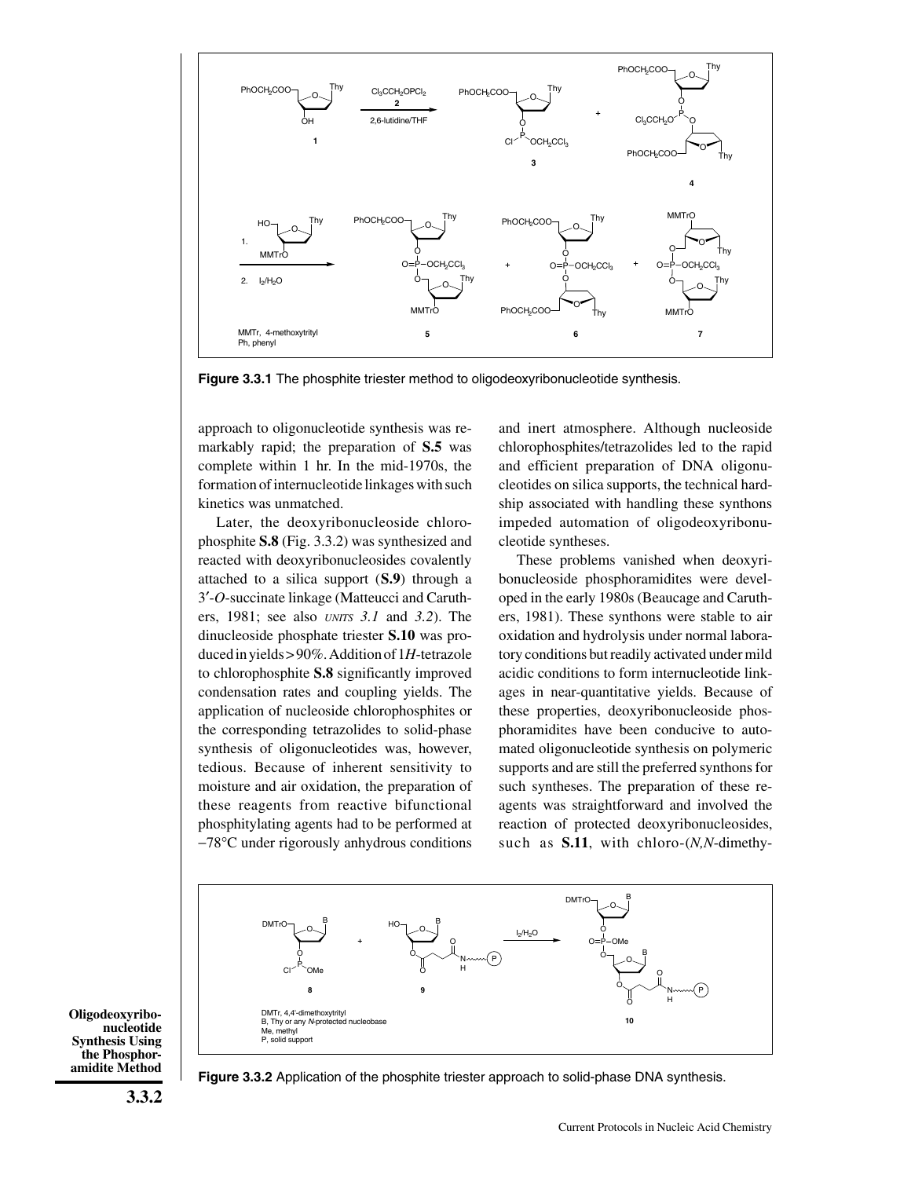

**Figure 3.3.1** The phosphite triester method to oligodeoxyribonucleotide synthesis.

approach to oligonucleotide synthesis was remarkably rapid; the preparation of **S.5** was complete within 1 hr. In the mid-1970s, the formation of internucleotide linkages with such kinetics was unmatched.

Later, the deoxyribonucleoside chlorophosphite **S.8** (Fig. 3.3.2) was synthesized and reacted with deoxyribonucleosides covalently attached to a silica support (**S.9**) through a 3′-*O*-succinate linkage (Matteucci and Caruthers, 1981; see also *UNITS 3.1* and *3.2*). The dinucleoside phosphate triester **S.10** was produced in yields > 90%. Addition of 1*H*-tetrazole to chlorophosphite **S.8** significantly improved condensation rates and coupling yields. The application of nucleoside chlorophosphites or the corresponding tetrazolides to solid-phase synthesis of oligonucleotides was, however, tedious. Because of inherent sensitivity to moisture and air oxidation, the preparation of these reagents from reactive bifunctional phosphitylating agents had to be performed at −78°C under rigorously anhydrous conditions and inert atmosphere. Although nucleoside chlorophosphites/tetrazolides led to the rapid and efficient preparation of DNA oligonucleotides on silica supports, the technical hardship associated with handling these synthons impeded automation of oligodeoxyribonucleotide syntheses.

These problems vanished when deoxyribonucleoside phosphoramidites were developed in the early 1980s (Beaucage and Caruthers, 1981). These synthons were stable to air oxidation and hydrolysis under normal laboratory conditions but readily activated under mild acidic conditions to form internucleotide linkages in near-quantitative yields. Because of these properties, deoxyribonucleoside phosphoramidites have been conducive to automated oligonucleotide synthesis on polymeric supports and are still the preferred synthons for such syntheses. The preparation of these reagents was straightforward and involved the reaction of protected deoxyribonucleosides, such as **S.11**, with chloro-(*N,N*-dimethy-



**Oligodeoxyribonucleotide Synthesis Using the Phosphoramidite Method**

**Figure 3.3.2** Application of the phosphite triester approach to solid-phase DNA synthesis.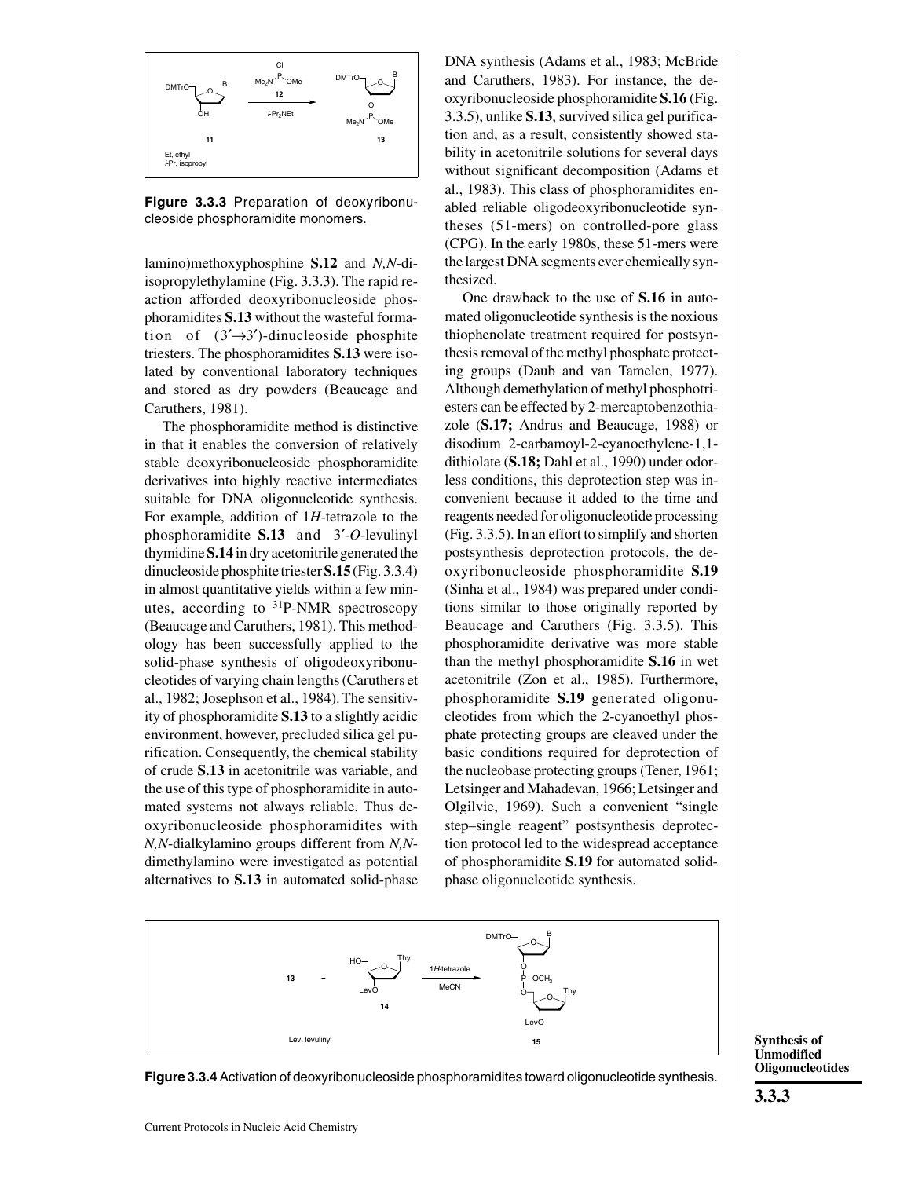

**Figure 3.3.3** Preparation of deoxyribonucleoside phosphoramidite monomers.

lamino)methoxyphosphine **S.12** and *N,N*-diisopropylethylamine (Fig. 3.3.3). The rapid reaction afforded deoxyribonucleoside phosphoramidites **S.13** without the wasteful formation of  $(3' \rightarrow 3')$ -dinucleoside phosphite triesters. The phosphoramidites **S.13** were isolated by conventional laboratory techniques and stored as dry powders (Beaucage and Caruthers, 1981).

The phosphoramidite method is distinctive in that it enables the conversion of relatively stable deoxyribonucleoside phosphoramidite derivatives into highly reactive intermediates suitable for DNA oligonucleotide synthesis. For example, addition of 1*H*-tetrazole to the phosphoramidite **S.13** and 3′-*O*-levulinyl thymidine **S.14** in dry acetonitrile generated the dinucleoside phosphite triester **S.15** (Fig. 3.3.4) in almost quantitative yields within a few minutes, according to 31P-NMR spectroscopy (Beaucage and Caruthers, 1981). This methodology has been successfully applied to the solid-phase synthesis of oligodeoxyribonucleotides of varying chain lengths (Caruthers et al., 1982; Josephson et al., 1984).The sensitivity of phosphoramidite **S.13** to a slightly acidic environment, however, precluded silica gel purification. Consequently, the chemical stability of crude **S.13** in acetonitrile was variable, and the use of this type of phosphoramidite in automated systems not always reliable. Thus deoxyribonucleoside phosphoramidites with *N,N*-dialkylamino groups different from *N,N*dimethylamino were investigated as potential alternatives to **S.13** in automated solid-phase DNA synthesis (Adams et al., 1983; McBride and Caruthers, 1983). For instance, the deoxyribonucleoside phosphoramidite **S.16** (Fig. 3.3.5), unlike **S.13**, survived silica gel purification and, as a result, consistently showed stability in acetonitrile solutions for several days without significant decomposition (Adams et al., 1983). This class of phosphoramidites enabled reliable oligodeoxyribonucleotide syntheses (51-mers) on controlled-pore glass (CPG). In the early 1980s, these 51-mers were the largest DNA segments ever chemically synthesized.

One drawback to the use of **S.16** in automated oligonucleotide synthesis is the noxious thiophenolate treatment required for postsynthesis removal of the methyl phosphate protecting groups (Daub and van Tamelen, 1977). Although demethylation of methyl phosphotriesters can be effected by 2-mercaptobenzothiazole (**S.17;** Andrus and Beaucage, 1988) or disodium 2-carbamoyl-2-cyanoethylene-1,1 dithiolate (**S.18;** Dahl et al., 1990) under odorless conditions, this deprotection step was inconvenient because it added to the time and reagents needed for oligonucleotide processing (Fig. 3.3.5). In an effort to simplify and shorten postsynthesis deprotection protocols, the deoxyribonucleoside phosphoramidite **S.19** (Sinha et al., 1984) was prepared under conditions similar to those originally reported by Beaucage and Caruthers (Fig. 3.3.5). This phosphoramidite derivative was more stable than the methyl phosphoramidite **S.16** in wet acetonitrile (Zon et al., 1985). Furthermore, phosphoramidite **S.19** generated oligonucleotides from which the 2-cyanoethyl phosphate protecting groups are cleaved under the basic conditions required for deprotection of the nucleobase protecting groups (Tener, 1961; Letsinger and Mahadevan, 1966; Letsinger and Olgilvie, 1969). Such a convenient "single step–single reagent" postsynthesis deprotection protocol led to the widespread acceptance of phosphoramidite **S.19** for automated solidphase oligonucleotide synthesis.



**Figure 3.3.4** Activation of deoxyribonucleoside phosphoramidites toward oligonucleotide synthesis.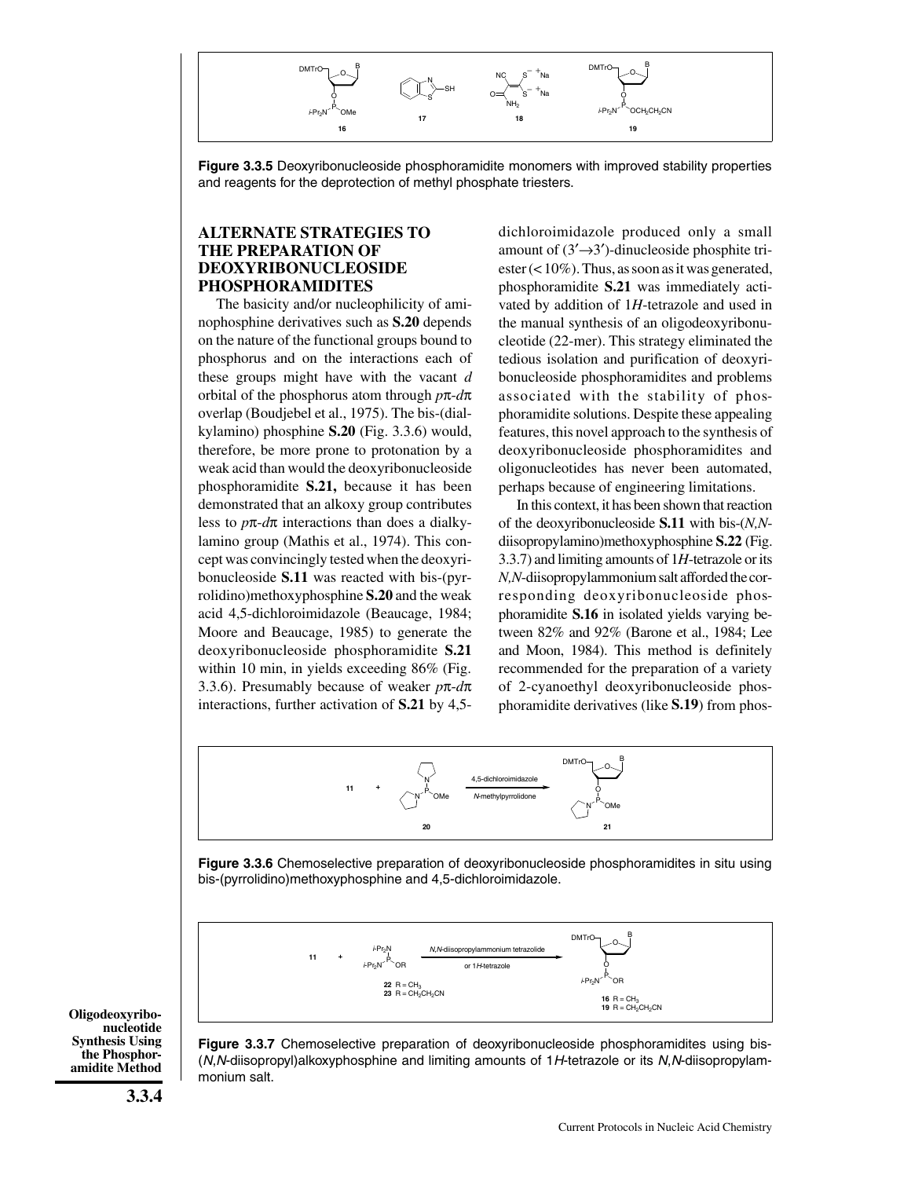

**Figure 3.3.5** Deoxyribonucleoside phosphoramidite monomers with improved stability properties and reagents for the deprotection of methyl phosphate triesters.

### **ALTERNATE STRATEGIES TO THE PREPARATION OF DEOXYRIBONUCLEOSIDE PHOSPHORAMIDITES**

The basicity and/or nucleophilicity of aminophosphine derivatives such as **S.20** depends on the nature of the functional groups bound to phosphorus and on the interactions each of these groups might have with the vacant *d* orbital of the phosphorus atom through *p*π-*d*π overlap (Boudjebel et al., 1975). The bis-(dialkylamino) phosphine **S.20** (Fig. 3.3.6) would, therefore, be more prone to protonation by a weak acid than would the deoxyribonucleoside phosphoramidite **S.21,** because it has been demonstrated that an alkoxy group contributes less to *p*π-*d*π interactions than does a dialkylamino group (Mathis et al., 1974). This concept was convincingly tested when the deoxyribonucleoside **S.11** was reacted with bis-(pyrrolidino)methoxyphosphine **S.20** and the weak acid 4,5-dichloroimidazole (Beaucage, 1984; Moore and Beaucage, 1985) to generate the deoxyribonucleoside phosphoramidite **S.21** within 10 min, in yields exceeding 86% (Fig. 3.3.6). Presumably because of weaker *p*π-*d*π interactions, further activation of **S.21** by 4,5dichloroimidazole produced only a small amount of  $(3' \rightarrow 3')$ -dinucleoside phosphite triester (< 10%). Thus, as soon as it was generated, phosphoramidite **S.21** was immediately activated by addition of 1*H*-tetrazole and used in the manual synthesis of an oligodeoxyribonucleotide (22-mer). This strategy eliminated the tedious isolation and purification of deoxyribonucleoside phosphoramidites and problems associated with the stability of phosphoramidite solutions. Despite these appealing features, this novel approach to the synthesis of deoxyribonucleoside phosphoramidites and oligonucleotides has never been automated, perhaps because of engineering limitations.

In this context, it has been shown that reaction of the deoxyribonucleoside **S.11** with bis-(*N,N*diisopropylamino)methoxyphosphine **S.22** (Fig. 3.3.7) and limiting amounts of 1*H*-tetrazole or its *N,N*-diisopropylammonium salt afforded the corresponding deoxyribonucleoside phosphoramidite **S.16** in isolated yields varying between 82% and 92% (Barone et al., 1984; Lee and Moon, 1984). This method is definitely recommended for the preparation of a variety of 2-cyanoethyl deoxyribonucleoside phosphoramidite derivatives (like **S.19**) from phos-



**Figure 3.3.6** Chemoselective preparation of deoxyribonucleoside phosphoramidites in situ using bis-(pyrrolidino)methoxyphosphine and 4,5-dichloroimidazole.



**Oligodeoxyribonucleotide Synthesis Using the Phosphoramidite Method**

**Figure 3.3.7** Chemoselective preparation of deoxyribonucleoside phosphoramidites using bis- (N,N-diisopropyl)alkoxyphosphine and limiting amounts of 1H-tetrazole or its N,N-diisopropylammonium salt.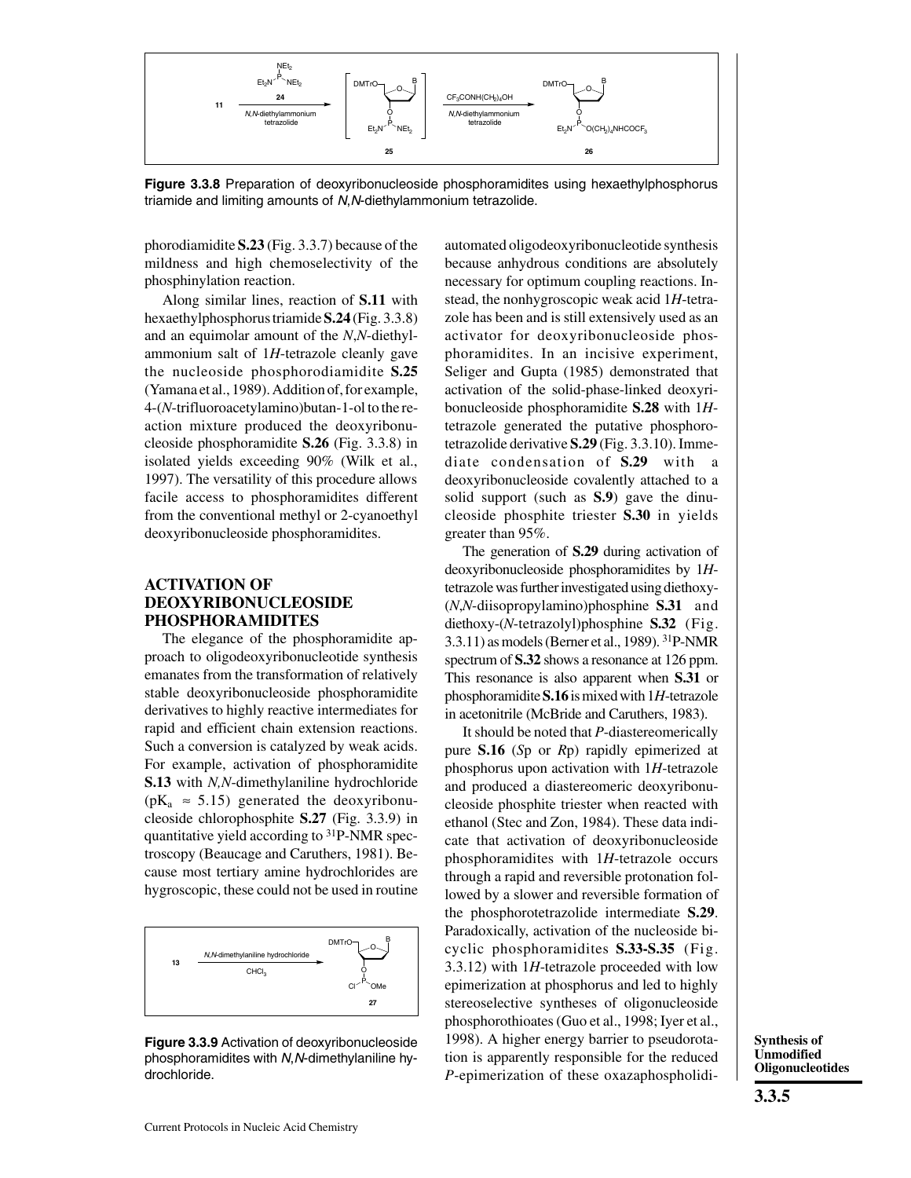

**Figure 3.3.8** Preparation of deoxyribonucleoside phosphoramidites using hexaethylphosphorus triamide and limiting amounts of N,N-diethylammonium tetrazolide.

phorodiamidite **S.23** (Fig. 3.3.7) because of the mildness and high chemoselectivity of the phosphinylation reaction.

Along similar lines, reaction of **S.11** with hexaethylphosphorus triamide **S.24** (Fig. 3.3.8) and an equimolar amount of the *N*,*N*-diethylammonium salt of 1*H*-tetrazole cleanly gave the nucleoside phosphorodiamidite **S.25** (Yamana et al., 1989). Addition of, for example, 4-(*N*-trifluoroacetylamino)butan-1-ol to the reaction mixture produced the deoxyribonucleoside phosphoramidite **S.26** (Fig. 3.3.8) in isolated yields exceeding 90% (Wilk et al., 1997). The versatility of this procedure allows facile access to phosphoramidites different from the conventional methyl or 2-cyanoethyl deoxyribonucleoside phosphoramidites.

#### **ACTIVATION OF DEOXYRIBONUCLEOSIDE PHOSPHORAMIDITES**

The elegance of the phosphoramidite approach to oligodeoxyribonucleotide synthesis emanates from the transformation of relatively stable deoxyribonucleoside phosphoramidite derivatives to highly reactive intermediates for rapid and efficient chain extension reactions. Such a conversion is catalyzed by weak acids. For example, activation of phosphoramidite **S.13** with *N,N*-dimethylaniline hydrochloride ( $pK_a \approx 5.15$ ) generated the deoxyribonucleoside chlorophosphite **S.27** (Fig. 3.3.9) in quantitative yield according to 31P-NMR spectroscopy (Beaucage and Caruthers, 1981). Because most tertiary amine hydrochlorides are hygroscopic, these could not be used in routine



**Figure 3.3.9** Activation of deoxyribonucleoside phosphoramidites with N,N-dimethylaniline hydrochloride.

automated oligodeoxyribonucleotide synthesis because anhydrous conditions are absolutely necessary for optimum coupling reactions. Instead, the nonhygroscopic weak acid 1*H*-tetrazole has been and is still extensively used as an activator for deoxyribonucleoside phosphoramidites. In an incisive experiment, Seliger and Gupta (1985) demonstrated that activation of the solid-phase-linked deoxyribonucleoside phosphoramidite **S.28** with 1*H*tetrazole generated the putative phosphorotetrazolide derivative **S.29** (Fig. 3.3.10). Immediate condensation of **S.29** with a deoxyribonucleoside covalently attached to a solid support (such as **S.9**) gave the dinucleoside phosphite triester **S.30** in yields greater than 95%.

The generation of **S.29** during activation of deoxyribonucleoside phosphoramidites by 1*H*tetrazole was further investigated using diethoxy- (*N*,*N*-diisopropylamino)phosphine **S.31** and diethoxy-(*N*-tetrazolyl)phosphine **S.32** (Fig. 3.3.11) as models (Berner et al., 1989). 31P-NMR spectrum of **S.32** shows a resonance at 126 ppm. This resonance is also apparent when **S.31** or phosphoramidite **S.16** is mixed with 1*H*-tetrazole in acetonitrile (McBride and Caruthers, 1983).

It should be noted that *P*-diastereomerically pure **S.16** (*S*p or *R*p) rapidly epimerized at phosphorus upon activation with 1*H*-tetrazole and produced a diastereomeric deoxyribonucleoside phosphite triester when reacted with ethanol (Stec and Zon, 1984). These data indicate that activation of deoxyribonucleoside phosphoramidites with 1*H*-tetrazole occurs through a rapid and reversible protonation followed by a slower and reversible formation of the phosphorotetrazolide intermediate **S.29**. Paradoxically, activation of the nucleoside bicyclic phosphoramidites **S.33-S.35** (Fig. 3.3.12) with 1*H*-tetrazole proceeded with low epimerization at phosphorus and led to highly stereoselective syntheses of oligonucleoside phosphorothioates (Guo et al., 1998; Iyer et al., 1998). A higher energy barrier to pseudorotation is apparently responsible for the reduced *P*-epimerization of these oxazaphospholidi-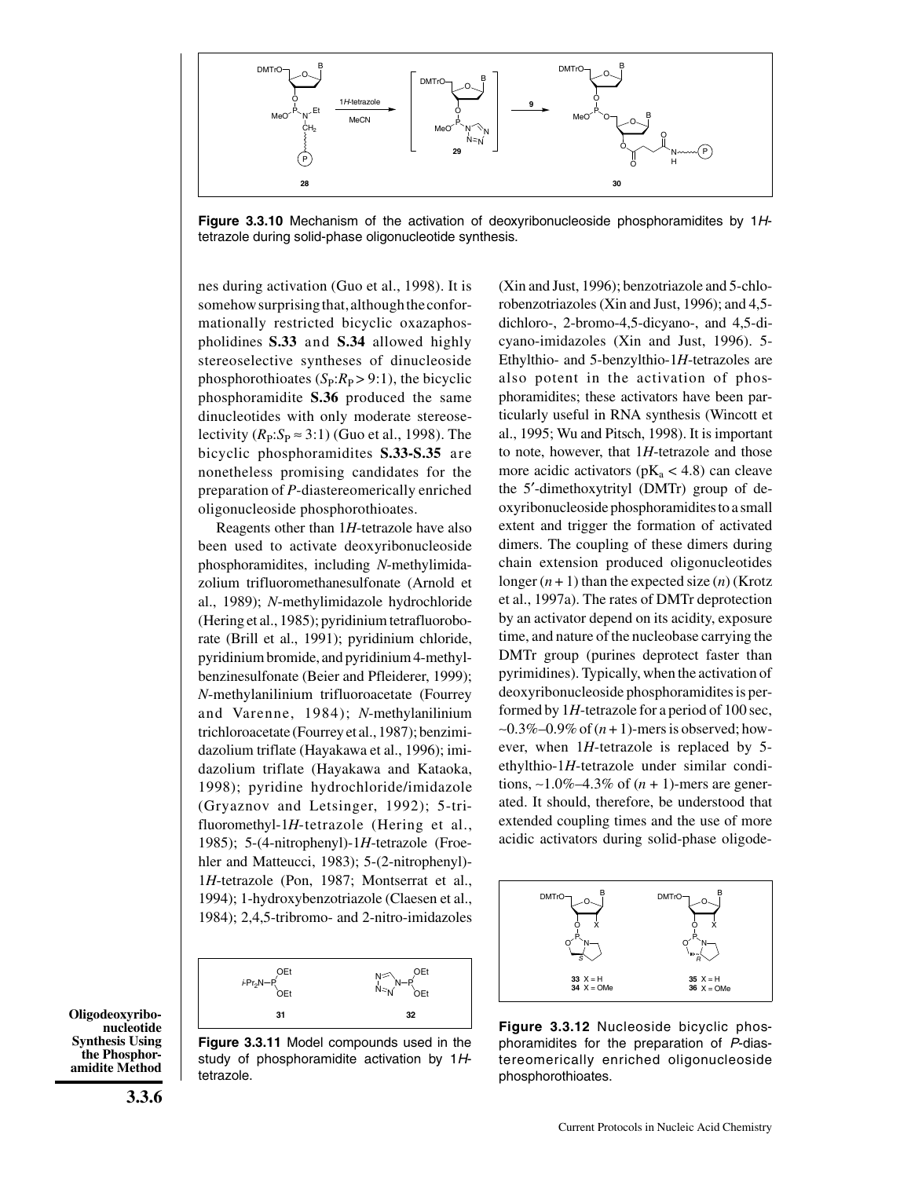

**Figure 3.3.10** Mechanism of the activation of deoxyribonucleoside phosphoramidites by 1Htetrazole during solid-phase oligonucleotide synthesis.

nes during activation (Guo et al., 1998). It is somehow surprising that, although the conformationally restricted bicyclic oxazaphospholidines **S.33** and **S.34** allowed highly stereoselective syntheses of dinucleoside phosphorothioates  $(S_P: R_P > 9:1)$ , the bicyclic phosphoramidite **S.36** produced the same dinucleotides with only moderate stereoselectivity  $(R_P: S_P \approx 3:1)$  (Guo et al., 1998). The bicyclic phosphoramidites **S.33-S.35** are nonetheless promising candidates for the preparation of *P*-diastereomerically enriched oligonucleoside phosphorothioates.

Reagents other than 1*H*-tetrazole have also been used to activate deoxyribonucleoside phosphoramidites, including *N*-methylimidazolium trifluoromethanesulfonate (Arnold et al., 1989); *N*-methylimidazole hydrochloride (Hering et al., 1985); pyridinium tetrafluoroborate (Brill et al., 1991); pyridinium chloride, pyridinium bromide, and pyridinium 4-methylbenzinesulfonate (Beier and Pfleiderer, 1999); *N*-methylanilinium trifluoroacetate (Fourrey and Varenne, 1984); *N*-methylanilinium trichloroacetate (Fourrey et al., 1987); benzimidazolium triflate (Hayakawa et al., 1996); imidazolium triflate (Hayakawa and Kataoka, 1998); pyridine hydrochloride/imidazole (Gryaznov and Letsinger, 1992); 5-trifluoromethyl-1*H*-tetrazole (Hering et al., 1985); 5-(4-nitrophenyl)-1*H*-tetrazole (Froehler and Matteucci, 1983); 5-(2-nitrophenyl)- 1*H*-tetrazole (Pon, 1987; Montserrat et al., 1994); 1-hydroxybenzotriazole (Claesen et al., 1984); 2,4,5-tribromo- and 2-nitro-imidazoles



**Oligodeoxyribonucleotide Synthesis Using the Phosphoramidite Method**

**Figure 3.3.11** Model compounds used in the study of phosphoramidite activation by 1Htetrazole.

(Xin and Just, 1996); benzotriazole and 5-chlorobenzotriazoles (Xin and Just, 1996); and 4,5 dichloro-, 2-bromo-4,5-dicyano-, and 4,5-dicyano-imidazoles (Xin and Just, 1996). 5- Ethylthio- and 5-benzylthio-1*H*-tetrazoles are also potent in the activation of phosphoramidites; these activators have been particularly useful in RNA synthesis (Wincott et al., 1995; Wu and Pitsch, 1998). It is important to note, however, that 1*H*-tetrazole and those more acidic activators ( $pK_a < 4.8$ ) can cleave the 5′-dimethoxytrityl (DMTr) group of deoxyribonucleoside phosphoramidites to a small extent and trigger the formation of activated dimers. The coupling of these dimers during chain extension produced oligonucleotides longer  $(n + 1)$  than the expected size  $(n)$  (Krotz et al., 1997a). The rates of DMTr deprotection by an activator depend on its acidity, exposure time, and nature of the nucleobase carrying the DMTr group (purines deprotect faster than pyrimidines). Typically, when the activation of deoxyribonucleoside phosphoramidites is performed by 1*H*-tetrazole for a period of 100 sec, ∼0.3%–0.9% of (*n* + 1)-mers is observed; however, when 1*H*-tetrazole is replaced by 5 ethylthio-1*H*-tetrazole under similar conditions, ∼1.0%–4.3% of (*n* + 1)-mers are generated. It should, therefore, be understood that extended coupling times and the use of more acidic activators during solid-phase oligode-



**Figure 3.3.12** Nucleoside bicyclic phosphoramidites for the preparation of P-diastereomerically enriched oligonucleoside phosphorothioates.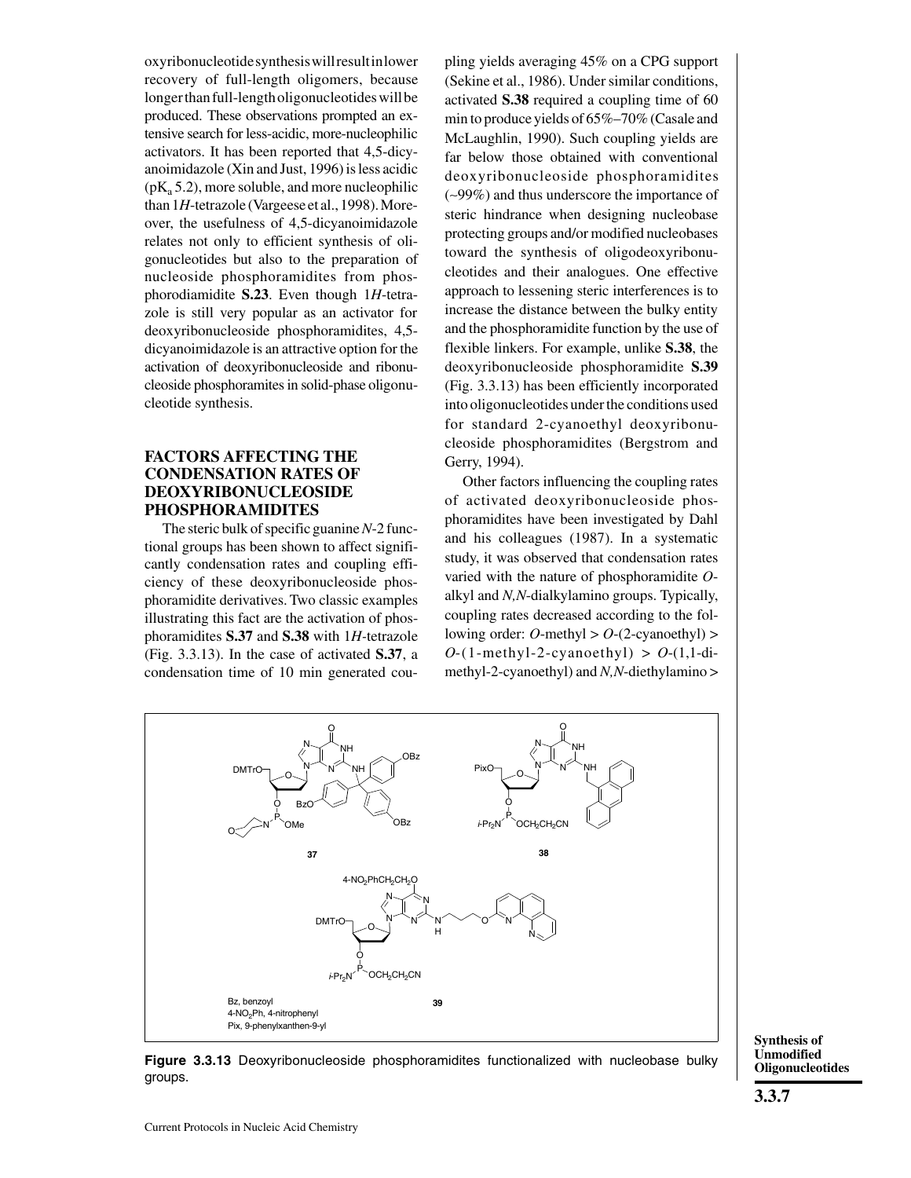oxyribonucleotide synthesis will result in lower recovery of full-length oligomers, because longer than full-length oligonucleotides will be produced. These observations prompted an extensive search for less-acidic, more-nucleophilic activators. It has been reported that 4,5-dicyanoimidazole (Xin and Just, 1996) is less acidic  $(pK_a 5.2)$ , more soluble, and more nucleophilic than 1*H*-tetrazole (Vargeese et al., 1998). Moreover, the usefulness of 4,5-dicyanoimidazole relates not only to efficient synthesis of oligonucleotides but also to the preparation of nucleoside phosphoramidites from phosphorodiamidite **S.23**. Even though 1*H*-tetrazole is still very popular as an activator for deoxyribonucleoside phosphoramidites, 4,5 dicyanoimidazole is an attractive option for the activation of deoxyribonucleoside and ribonucleoside phosphoramites in solid-phase oligonucleotide synthesis.

#### **FACTORS AFFECTING THE CONDENSATION RATES OF DEOXYRIBONUCLEOSIDE PHOSPHORAMIDITES**

The steric bulk of specific guanine *N*-2 functional groups has been shown to affect significantly condensation rates and coupling efficiency of these deoxyribonucleoside phosphoramidite derivatives. Two classic examples illustrating this fact are the activation of phosphoramidites **S.37** and **S.38** with 1*H-*tetrazole (Fig. 3.3.13). In the case of activated **S.37**, a condensation time of 10 min generated coupling yields averaging 45% on a CPG support (Sekine et al., 1986). Under similar conditions, activated **S.38** required a coupling time of 60 min to produce yields of 65%–70% (Casale and McLaughlin, 1990). Such coupling yields are far below those obtained with conventional deoxyribonucleoside phosphoramidites (∼99%) and thus underscore the importance of steric hindrance when designing nucleobase protecting groups and/or modified nucleobases toward the synthesis of oligodeoxyribonucleotides and their analogues. One effective approach to lessening steric interferences is to increase the distance between the bulky entity and the phosphoramidite function by the use of flexible linkers. For example, unlike **S.38**, the deoxyribonucleoside phosphoramidite **S.39** (Fig. 3.3.13) has been efficiently incorporated into oligonucleotides under the conditions used for standard 2-cyanoethyl deoxyribonucleoside phosphoramidites (Bergstrom and Gerry, 1994).

Other factors influencing the coupling rates of activated deoxyribonucleoside phosphoramidites have been investigated by Dahl and his colleagues (1987). In a systematic study, it was observed that condensation rates varied with the nature of phosphoramidite *O*alkyl and *N,N*-dialkylamino groups. Typically, coupling rates decreased according to the following order:  $O$ -methyl  $> O$ -(2-cyanoethyl)  $>$  $O-(1$ -methyl-2-cyanoethyl) >  $O-(1,1$ -dimethyl-2-cyanoethyl) and *N,N*-diethylamino >



**Synthesis of Unmodified Oligonucleotides**

groups.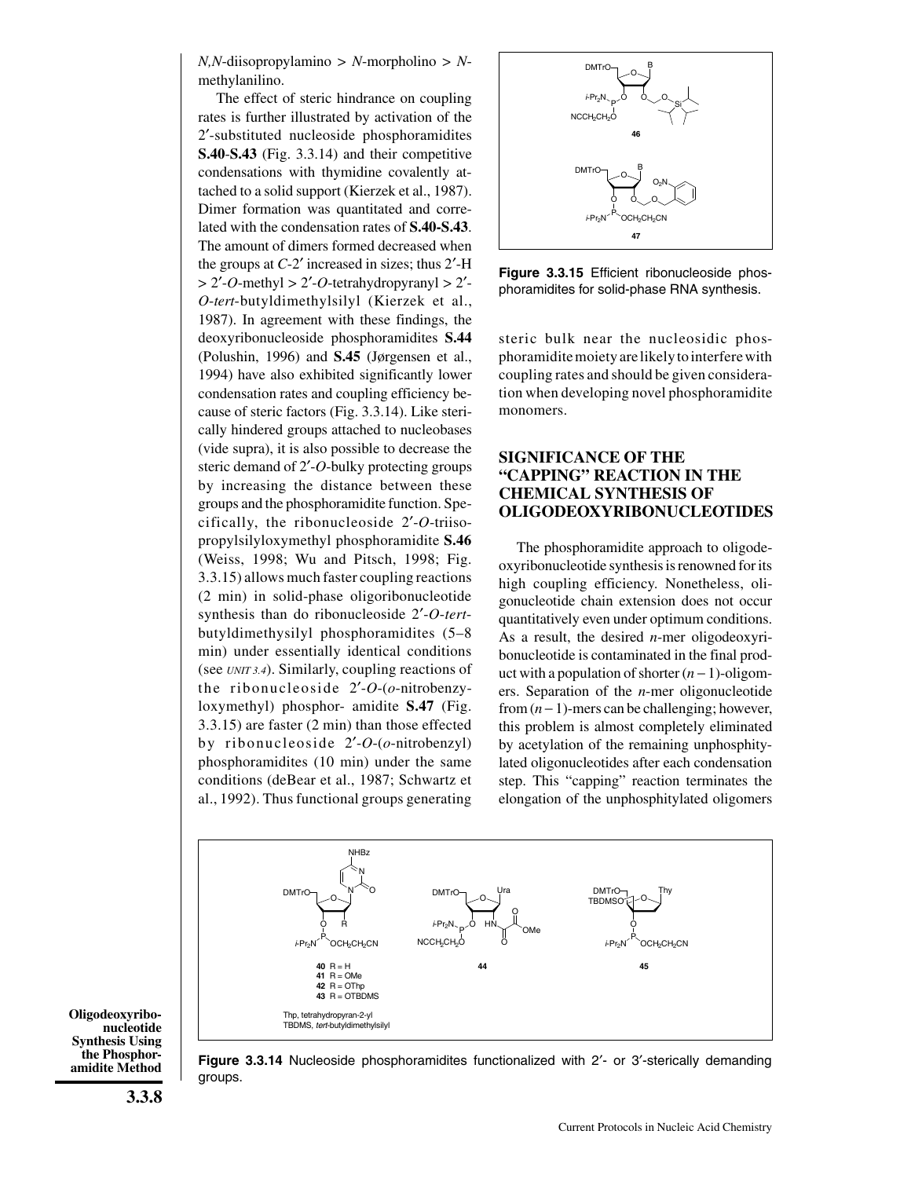*N,N*-diisopropylamino > *N*-morpholino > *N*methylanilino.

The effect of steric hindrance on coupling rates is further illustrated by activation of the 2′-substituted nucleoside phosphoramidites **S.40**-**S.43** (Fig. 3.3.14) and their competitive condensations with thymidine covalently attached to a solid support (Kierzek et al., 1987). Dimer formation was quantitated and correlated with the condensation rates of **S.40-S.43**. The amount of dimers formed decreased when the groups at *C*-2′ increased in sizes; thus 2′-H  $> 2'$ -*O*-methyl  $> 2'$ -*O*-tetrahydropyranyl  $> 2'$ -*O*-*tert*-butyldimethylsilyl (Kierzek et al., 1987). In agreement with these findings, the deoxyribonucleoside phosphoramidites **S.44** (Polushin, 1996) and **S.45** (Jørgensen et al., 1994) have also exhibited significantly lower condensation rates and coupling efficiency because of steric factors (Fig. 3.3.14). Like sterically hindered groups attached to nucleobases (vide supra), it is also possible to decrease the steric demand of 2′-*O*-bulky protecting groups by increasing the distance between these groups and the phosphoramidite function. Specifically, the ribonucleoside 2′-*O*-triisopropylsilyloxymethyl phosphoramidite **S.46** (Weiss, 1998; Wu and Pitsch, 1998; Fig. 3.3.15) allows much faster coupling reactions (2 min) in solid-phase oligoribonucleotide synthesis than do ribonucleoside 2′-*O*-*tert*butyldimethysilyl phosphoramidites (5–8 min) under essentially identical conditions (see *UNIT 3.4*). Similarly, coupling reactions of the ribonucleoside 2′-*O*-(*o*-nitrobenzyloxymethyl) phosphor- amidite **S.47** (Fig. 3.3.15) are faster (2 min) than those effected by ribonucleoside 2′-*O*-(*o*-nitrobenzyl) phosphoramidites (10 min) under the same conditions (deBear et al., 1987; Schwartz et al., 1992). Thus functional groups generating



**Figure 3.3.15** Efficient ribonucleoside phosphoramidites for solid-phase RNA synthesis.

steric bulk near the nucleosidic phosphoramidite moiety are likely to interfere with coupling rates and should be given consideration when developing novel phosphoramidite monomers.

#### **SIGNIFICANCE OF THE "CAPPING" REACTION IN THE CHEMICAL SYNTHESIS OF OLIGODEOXYRIBONUCLEOTIDES**

The phosphoramidite approach to oligodeoxyribonucleotide synthesis is renowned for its high coupling efficiency. Nonetheless, oligonucleotide chain extension does not occur quantitatively even under optimum conditions. As a result, the desired *n*-mer oligodeoxyribonucleotide is contaminated in the final product with a population of shorter (*n* − 1)-oligomers. Separation of the *n*-mer oligonucleotide from (*n* − 1)-mers can be challenging; however, this problem is almost completely eliminated by acetylation of the remaining unphosphitylated oligonucleotides after each condensation step. This "capping" reaction terminates the elongation of the unphosphitylated oligomers



**Oligodeoxyribonucleotide Synthesis Using the Phosphoramidite Method**

**Figure 3.3.14** Nucleoside phosphoramidites functionalized with 2<sup>'</sup>- or 3<sup>'</sup>-sterically demanding groups.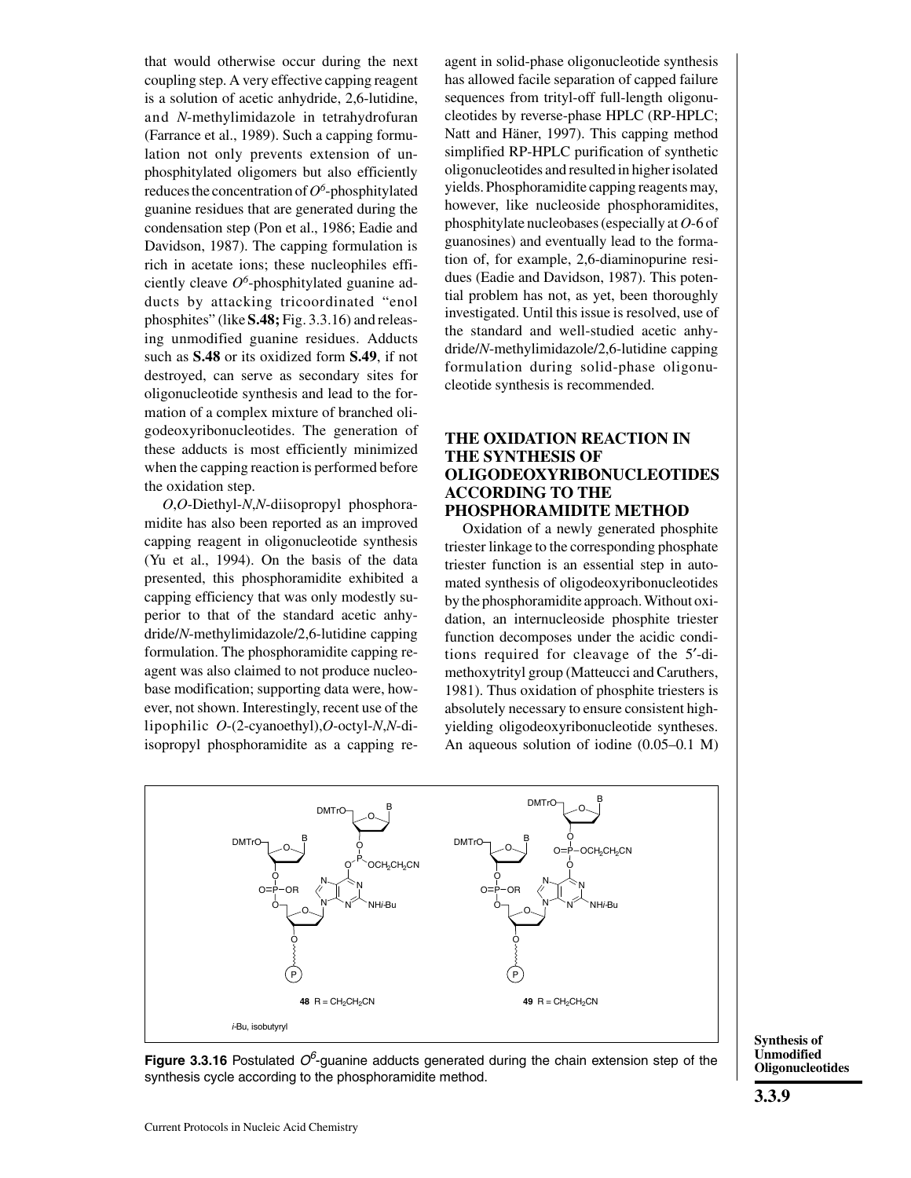that would otherwise occur during the next coupling step. A very effective capping reagent is a solution of acetic anhydride, 2,6-lutidine, and *N*-methylimidazole in tetrahydrofuran (Farrance et al., 1989). Such a capping formulation not only prevents extension of unphosphitylated oligomers but also efficiently reduces the concentration of *O6*-phosphitylated guanine residues that are generated during the condensation step (Pon et al., 1986; Eadie and Davidson, 1987). The capping formulation is rich in acetate ions; these nucleophiles efficiently cleave *O6*-phosphitylated guanine adducts by attacking tricoordinated "enol phosphites" (like **S.48;** Fig. 3.3.16) and releasing unmodified guanine residues. Adducts such as **S.48** or its oxidized form **S.49**, if not destroyed, can serve as secondary sites for oligonucleotide synthesis and lead to the formation of a complex mixture of branched oligodeoxyribonucleotides. The generation of these adducts is most efficiently minimized when the capping reaction is performed before the oxidation step.

*O*,*O*-Diethyl-*N*,*N*-diisopropyl phosphoramidite has also been reported as an improved capping reagent in oligonucleotide synthesis (Yu et al., 1994). On the basis of the data presented, this phosphoramidite exhibited a capping efficiency that was only modestly superior to that of the standard acetic anhydride/*N*-methylimidazole/2,6-lutidine capping formulation. The phosphoramidite capping reagent was also claimed to not produce nucleobase modification; supporting data were, however, not shown. Interestingly, recent use of the lipophilic *O*-(2-cyanoethyl),*O*-octyl-*N*,*N*-diisopropyl phosphoramidite as a capping reagent in solid-phase oligonucleotide synthesis has allowed facile separation of capped failure sequences from trityl-off full-length oligonucleotides by reverse-phase HPLC (RP-HPLC; Natt and Häner, 1997). This capping method simplified RP-HPLC purification of synthetic oligonucleotides and resulted in higher isolated yields. Phosphoramidite capping reagents may, however, like nucleoside phosphoramidites, phosphitylate nucleobases (especially at *O*-6 of guanosines) and eventually lead to the formation of, for example, 2,6-diaminopurine residues (Eadie and Davidson, 1987). This potential problem has not, as yet, been thoroughly investigated. Until this issue is resolved, use of the standard and well-studied acetic anhydride/*N*-methylimidazole/2,6-lutidine capping formulation during solid-phase oligonucleotide synthesis is recommended.

#### **THE OXIDATION REACTION IN THE SYNTHESIS OF OLIGODEOXYRIBONUCLEOTIDES ACCORDING TO THE PHOSPHORAMIDITE METHOD**

Oxidation of a newly generated phosphite triester linkage to the corresponding phosphate triester function is an essential step in automated synthesis of oligodeoxyribonucleotides by the phosphoramidite approach. Without oxidation, an internucleoside phosphite triester function decomposes under the acidic conditions required for cleavage of the 5′-dimethoxytrityl group (Matteucci and Caruthers, 1981). Thus oxidation of phosphite triesters is absolutely necessary to ensure consistent highyielding oligodeoxyribonucleotide syntheses. An aqueous solution of iodine (0.05–0.1 M)



**Figure 3.3.16** Postulated  $O<sup>6</sup>$ -quanine adducts generated during the chain extension step of the synthesis cycle according to the phosphoramidite method.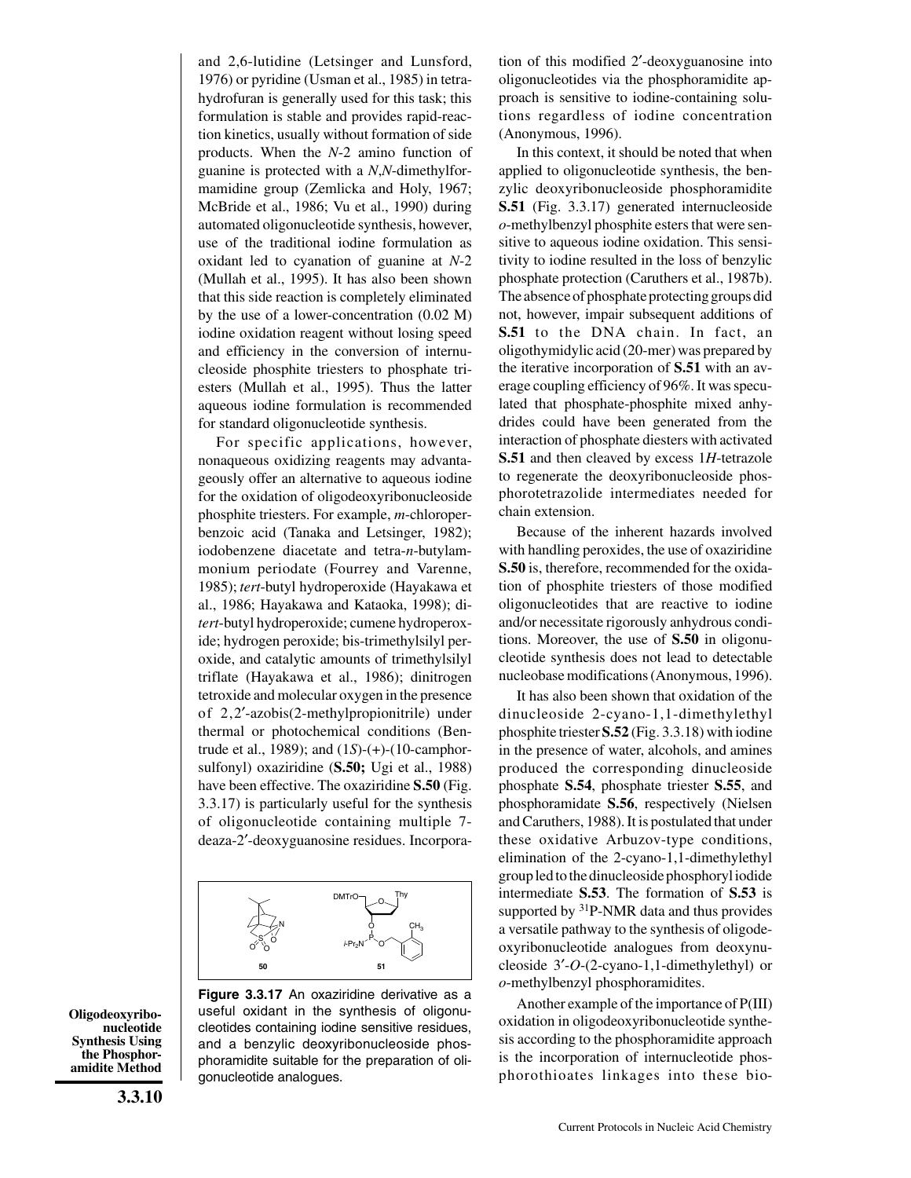and 2,6-lutidine (Letsinger and Lunsford, 1976) or pyridine (Usman et al., 1985) in tetrahydrofuran is generally used for this task; this formulation is stable and provides rapid-reaction kinetics, usually without formation of side products. When the *N*-2 amino function of guanine is protected with a *N*,*N*-dimethylformamidine group (Zemlicka and Holy, 1967; McBride et al., 1986; Vu et al., 1990) during automated oligonucleotide synthesis, however, use of the traditional iodine formulation as oxidant led to cyanation of guanine at *N*-2 (Mullah et al., 1995). It has also been shown that this side reaction is completely eliminated by the use of a lower-concentration (0.02 M) iodine oxidation reagent without losing speed and efficiency in the conversion of internucleoside phosphite triesters to phosphate triesters (Mullah et al., 1995). Thus the latter aqueous iodine formulation is recommended for standard oligonucleotide synthesis.

For specific applications, however, nonaqueous oxidizing reagents may advantageously offer an alternative to aqueous iodine for the oxidation of oligodeoxyribonucleoside phosphite triesters. For example, *m*-chloroperbenzoic acid (Tanaka and Letsinger, 1982); iodobenzene diacetate and tetra-*n*-butylammonium periodate (Fourrey and Varenne, 1985); *tert*-butyl hydroperoxide (Hayakawa et al., 1986; Hayakawa and Kataoka, 1998); di*tert*-butyl hydroperoxide; cumene hydroperoxide; hydrogen peroxide; bis-trimethylsilyl peroxide, and catalytic amounts of trimethylsilyl triflate (Hayakawa et al., 1986); dinitrogen tetroxide and molecular oxygen in the presence of 2,2′-azobis(2-methylpropionitrile) under thermal or photochemical conditions (Bentrude et al., 1989); and (1*S*)-(+)-(10-camphorsulfonyl) oxaziridine (**S.50;** Ugi et al., 1988) have been effective. The oxaziridine **S.50** (Fig. 3.3.17) is particularly useful for the synthesis of oligonucleotide containing multiple 7 deaza-2′-deoxyguanosine residues. Incorpora-



**Oligodeoxyribonucleotide Synthesis Using the Phosphoramidite Method**

**Figure 3.3.17** An oxaziridine derivative as a useful oxidant in the synthesis of oligonucleotides containing iodine sensitive residues, and a benzylic deoxyribonucleoside phosphoramidite suitable for the preparation of oligonucleotide analogues.

tion of this modified 2′-deoxyguanosine into oligonucleotides via the phosphoramidite approach is sensitive to iodine-containing solutions regardless of iodine concentration (Anonymous, 1996).

In this context, it should be noted that when applied to oligonucleotide synthesis, the benzylic deoxyribonucleoside phosphoramidite **S.51** (Fig. 3.3.17) generated internucleoside *o*-methylbenzyl phosphite esters that were sensitive to aqueous iodine oxidation. This sensitivity to iodine resulted in the loss of benzylic phosphate protection (Caruthers et al., 1987b). The absence of phosphate protecting groups did not, however, impair subsequent additions of **S.51** to the DNA chain. In fact, an oligothymidylic acid (20-mer) was prepared by the iterative incorporation of **S.51** with an average coupling efficiency of 96%. It was speculated that phosphate-phosphite mixed anhydrides could have been generated from the interaction of phosphate diesters with activated **S.51** and then cleaved by excess 1*H*-tetrazole to regenerate the deoxyribonucleoside phosphorotetrazolide intermediates needed for chain extension.

Because of the inherent hazards involved with handling peroxides, the use of oxaziridine **S.50** is, therefore, recommended for the oxidation of phosphite triesters of those modified oligonucleotides that are reactive to iodine and/or necessitate rigorously anhydrous conditions. Moreover, the use of **S.50** in oligonucleotide synthesis does not lead to detectable nucleobase modifications (Anonymous, 1996).

It has also been shown that oxidation of the dinucleoside 2-cyano-1,1-dimethylethyl phosphite triester **S.52** (Fig. 3.3.18) with iodine in the presence of water, alcohols, and amines produced the corresponding dinucleoside phosphate **S.54**, phosphate triester **S.55**, and phosphoramidate **S.56**, respectively (Nielsen and Caruthers, 1988). It is postulated that under these oxidative Arbuzov-type conditions, elimination of the 2-cyano-1,1-dimethylethyl group led to the dinucleoside phosphoryl iodide intermediate **S.53**. The formation of **S.53** is supported by <sup>31</sup>P-NMR data and thus provides a versatile pathway to the synthesis of oligodeoxyribonucleotide analogues from deoxynucleoside 3′-*O*-(2-cyano-1,1-dimethylethyl) or *o*-methylbenzyl phosphoramidites.

Another example of the importance of P(III) oxidation in oligodeoxyribonucleotide synthesis according to the phosphoramidite approach is the incorporation of internucleotide phosphorothioates linkages into these bio-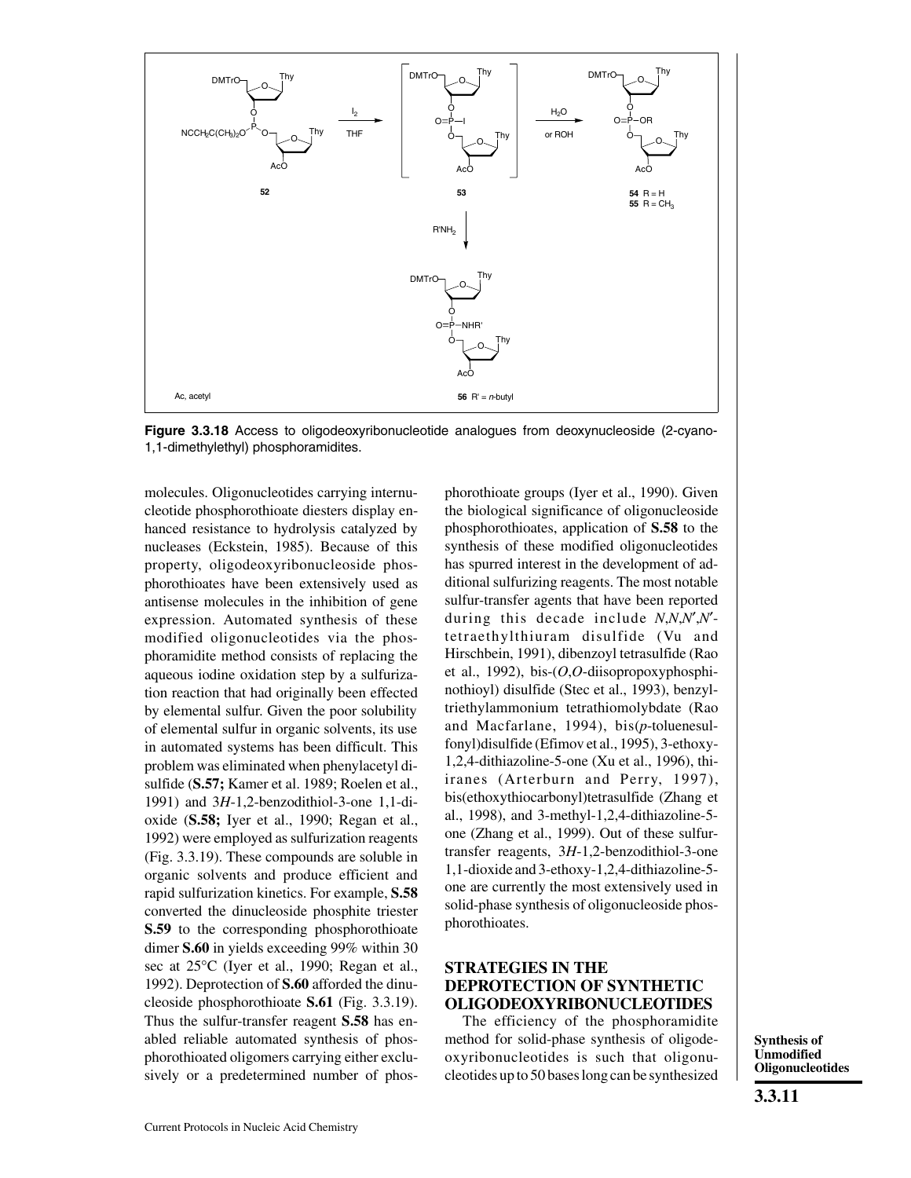

**Figure 3.3.18** Access to oligodeoxyribonucleotide analogues from deoxynucleoside (2-cyano-1,1-dimethylethyl) phosphoramidites.

molecules. Oligonucleotides carrying internucleotide phosphorothioate diesters display enhanced resistance to hydrolysis catalyzed by nucleases (Eckstein, 1985). Because of this property, oligodeoxyribonucleoside phosphorothioates have been extensively used as antisense molecules in the inhibition of gene expression. Automated synthesis of these modified oligonucleotides via the phosphoramidite method consists of replacing the aqueous iodine oxidation step by a sulfurization reaction that had originally been effected by elemental sulfur. Given the poor solubility of elemental sulfur in organic solvents, its use in automated systems has been difficult. This problem was eliminated when phenylacetyl disulfide (**S.57;** Kamer et al. 1989; Roelen et al., 1991) and 3*H*-1,2-benzodithiol-3-one 1,1-dioxide (**S.58;** Iyer et al., 1990; Regan et al., 1992) were employed as sulfurization reagents (Fig. 3.3.19). These compounds are soluble in organic solvents and produce efficient and rapid sulfurization kinetics. For example, **S.58** converted the dinucleoside phosphite triester **S.59** to the corresponding phosphorothioate dimer **S.60** in yields exceeding 99% within 30 sec at 25°C (Iyer et al., 1990; Regan et al., 1992). Deprotection of **S.60** afforded the dinucleoside phosphorothioate **S.61** (Fig. 3.3.19). Thus the sulfur-transfer reagent **S.58** has enabled reliable automated synthesis of phosphorothioated oligomers carrying either exclusively or a predetermined number of phos-

phorothioate groups (Iyer et al., 1990). Given the biological significance of oligonucleoside phosphorothioates, application of **S.58** to the synthesis of these modified oligonucleotides has spurred interest in the development of additional sulfurizing reagents. The most notable sulfur-transfer agents that have been reported during this decade include *N*,*N*,*N*′,*N*′ tetraethylthiuram disulfide (Vu and Hirschbein, 1991), dibenzoyl tetrasulfide (Rao et al., 1992), bis-(*O*,*O*-diisopropoxyphosphinothioyl) disulfide (Stec et al., 1993), benzyltriethylammonium tetrathiomolybdate (Rao and Macfarlane, 1994), bis(*p*-toluenesulfonyl)disulfide (Efimov et al., 1995), 3-ethoxy-1,2,4-dithiazoline-5-one (Xu et al., 1996), thiiranes (Arterburn and Perry, 1997), bis(ethoxythiocarbonyl)tetrasulfide (Zhang et al., 1998), and 3-methyl-1,2,4-dithiazoline-5 one (Zhang et al., 1999). Out of these sulfurtransfer reagents, 3*H*-1,2-benzodithiol-3-one 1,1-dioxide and 3-ethoxy-1,2,4-dithiazoline-5 one are currently the most extensively used in solid-phase synthesis of oligonucleoside phosphorothioates.

#### **STRATEGIES IN THE DEPROTECTION OF SYNTHETIC OLIGODEOXYRIBONUCLEOTIDES**

The efficiency of the phosphoramidite method for solid-phase synthesis of oligodeoxyribonucleotides is such that oligonucleotides up to 50 bases long can be synthesized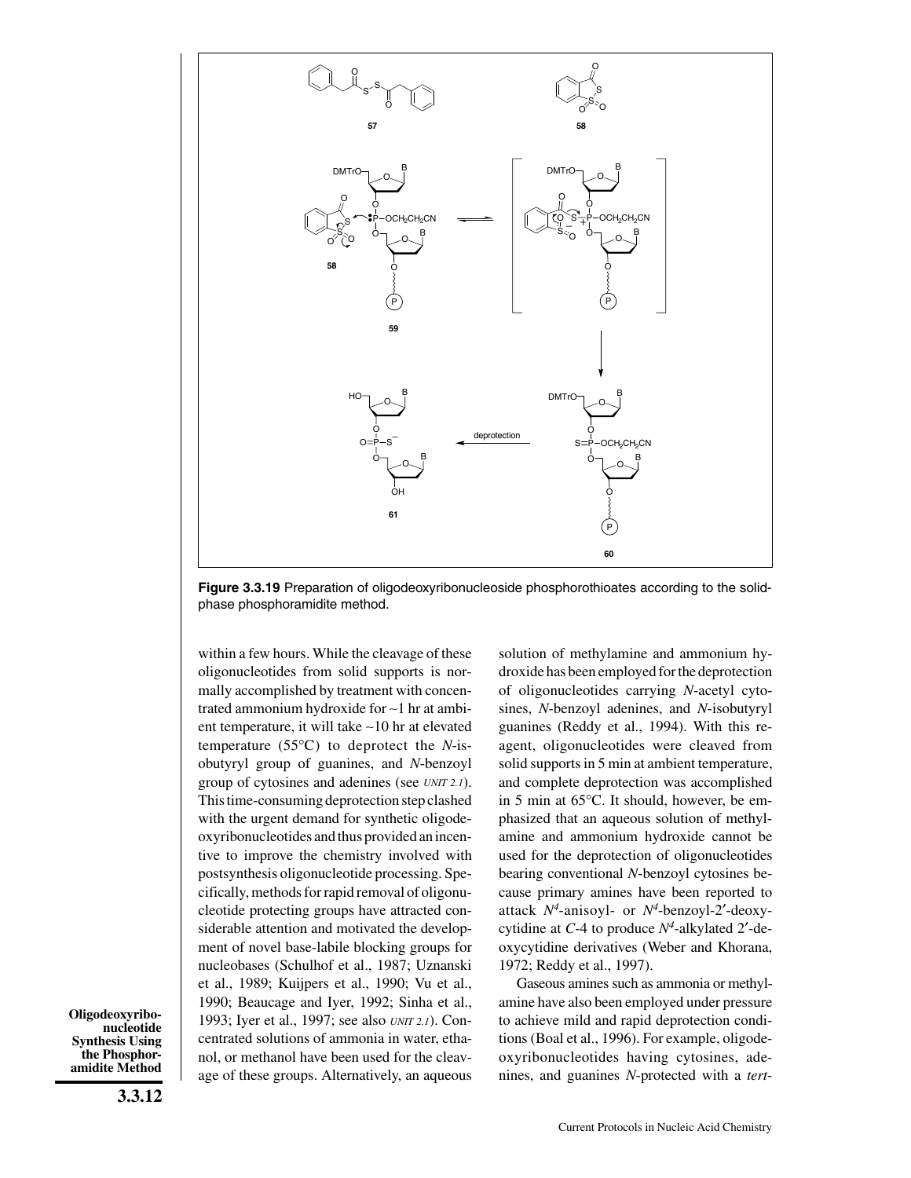

**Figure 3.3.19** Preparation of oligodeoxyribonucleoside phosphorothioates according to the solidphase phosphoramidite method.

within a few hours. While the cleavage of these oligonucleotides from solid supports is normally accomplished by treatment with concentrated ammonium hydroxide for ∼1 hr at ambient temperature, it will take ∼10 hr at elevated temperature (55°C) to deprotect the *N*-isobutyryl group of guanines, and *N*-benzoyl group of cytosines and adenines (see *UNIT 2.1*). This time-consuming deprotection step clashed with the urgent demand for synthetic oligodeoxyribonucleotides and thus provided an incentive to improve the chemistry involved with postsynthesis oligonucleotide processing. Specifically, methods for rapid removal of oligonucleotide protecting groups have attracted considerable attention and motivated the development of novel base-labile blocking groups for nucleobases (Schulhof et al., 1987; Uznanski et al., 1989; Kuijpers et al., 1990; Vu et al., 1990; Beaucage and Iyer, 1992; Sinha et al., 1993; Iyer et al., 1997; see also *UNIT 2.1*). Concentrated solutions of ammonia in water, ethanol, or methanol have been used for the cleavage of these groups. Alternatively, an aqueous

**Oligodeoxyribonucleotide Synthesis Using the Phosphoramidite Method** solution of methylamine and ammonium hydroxide has been employed for the deprotection of oligonucleotides carrying *N*-acetyl cytosines, *N*-benzoyl adenines, and *N*-isobutyryl guanines (Reddy et al., 1994). With this reagent, oligonucleotides were cleaved from solid supports in 5 min at ambient temperature, and complete deprotection was accomplished in 5 min at 65°C. It should, however, be emphasized that an aqueous solution of methylamine and ammonium hydroxide cannot be used for the deprotection of oligonucleotides bearing conventional *N*-benzoyl cytosines because primary amines have been reported to attack  $N^4$ -anisoyl- or  $N^4$ -benzoyl-2'-deoxycytidine at *C*-4 to produce *N4*-alkylated 2′-deoxycytidine derivatives (Weber and Khorana, 1972; Reddy et al., 1997).

Gaseous amines such as ammonia or methylamine have also been employed under pressure to achieve mild and rapid deprotection conditions (Boal et al., 1996). For example, oligodeoxyribonucleotides having cytosines, adenines, and guanines *N*-protected with a *tert*-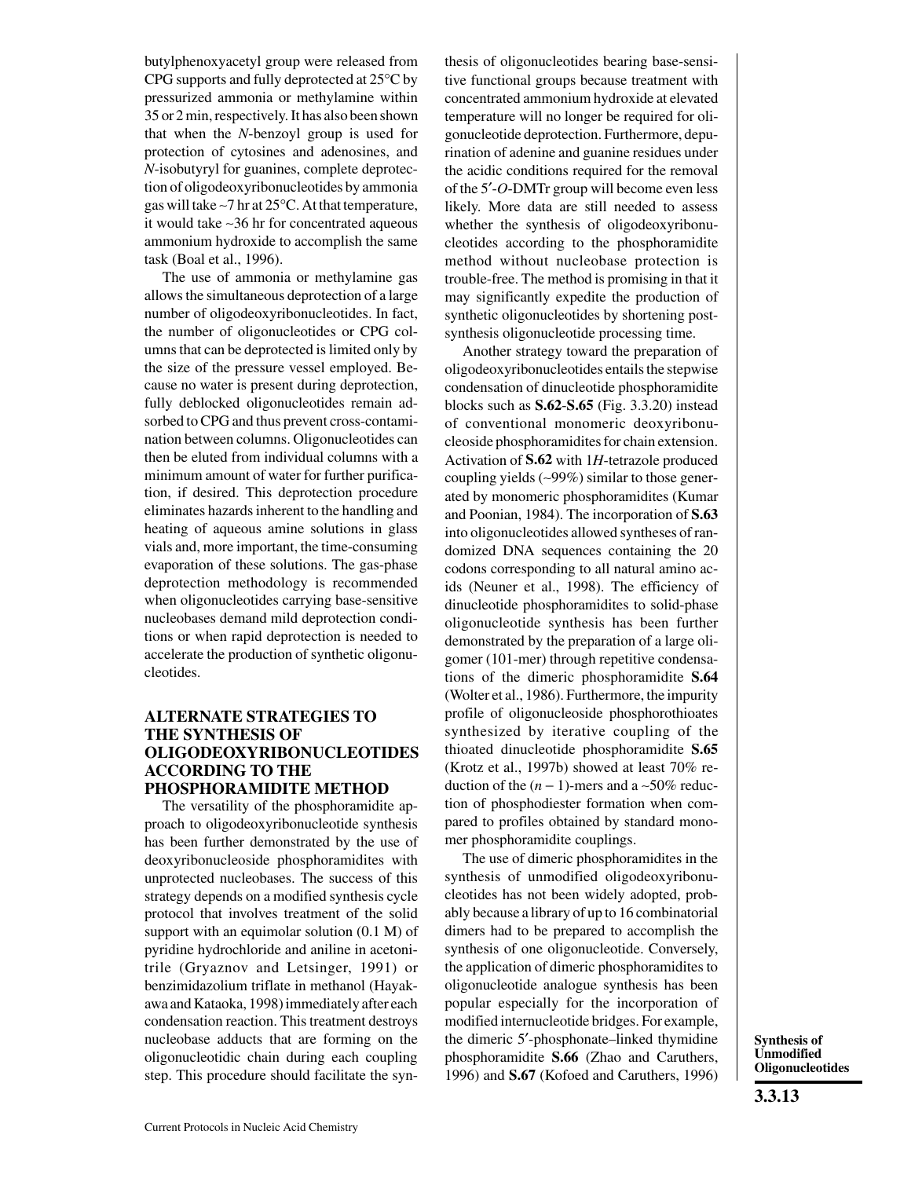butylphenoxyacetyl group were released from CPG supports and fully deprotected at 25°C by pressurized ammonia or methylamine within 35 or 2 min, respectively. It has also been shown that when the *N*-benzoyl group is used for protection of cytosines and adenosines, and *N*-isobutyryl for guanines, complete deprotection of oligodeoxyribonucleotides by ammonia gas will take ∼7 hr at 25°C. At that temperature, it would take ∼36 hr for concentrated aqueous ammonium hydroxide to accomplish the same task (Boal et al., 1996).

The use of ammonia or methylamine gas allows the simultaneous deprotection of a large number of oligodeoxyribonucleotides. In fact, the number of oligonucleotides or CPG columns that can be deprotected is limited only by the size of the pressure vessel employed. Because no water is present during deprotection, fully deblocked oligonucleotides remain adsorbed to CPG and thus prevent cross-contamination between columns. Oligonucleotides can then be eluted from individual columns with a minimum amount of water for further purification, if desired. This deprotection procedure eliminates hazards inherent to the handling and heating of aqueous amine solutions in glass vials and, more important, the time-consuming evaporation of these solutions. The gas-phase deprotection methodology is recommended when oligonucleotides carrying base-sensitive nucleobases demand mild deprotection conditions or when rapid deprotection is needed to accelerate the production of synthetic oligonucleotides.

## **ALTERNATE STRATEGIES TO THE SYNTHESIS OF OLIGODEOXYRIBONUCLEOTIDES ACCORDING TO THE PHOSPHORAMIDITE METHOD**

The versatility of the phosphoramidite approach to oligodeoxyribonucleotide synthesis has been further demonstrated by the use of deoxyribonucleoside phosphoramidites with unprotected nucleobases. The success of this strategy depends on a modified synthesis cycle protocol that involves treatment of the solid support with an equimolar solution (0.1 M) of pyridine hydrochloride and aniline in acetonitrile (Gryaznov and Letsinger, 1991) or benzimidazolium triflate in methanol (Hayakawa and Kataoka, 1998) immediately after each condensation reaction. This treatment destroys nucleobase adducts that are forming on the oligonucleotidic chain during each coupling step. This procedure should facilitate the synthesis of oligonucleotides bearing base-sensitive functional groups because treatment with concentrated ammonium hydroxide at elevated temperature will no longer be required for oligonucleotide deprotection. Furthermore, depurination of adenine and guanine residues under the acidic conditions required for the removal of the 5′-*O*-DMTr group will become even less likely. More data are still needed to assess whether the synthesis of oligodeoxyribonucleotides according to the phosphoramidite method without nucleobase protection is trouble-free. The method is promising in that it may significantly expedite the production of synthetic oligonucleotides by shortening postsynthesis oligonucleotide processing time.

Another strategy toward the preparation of oligodeoxyribonucleotides entails the stepwise condensation of dinucleotide phosphoramidite blocks such as **S.62**-**S.65** (Fig. 3.3.20) instead of conventional monomeric deoxyribonucleoside phosphoramidites for chain extension. Activation of **S.62** with 1*H*-tetrazole produced coupling yields (∼99%) similar to those generated by monomeric phosphoramidites (Kumar and Poonian, 1984). The incorporation of **S.63** into oligonucleotides allowed syntheses of randomized DNA sequences containing the 20 codons corresponding to all natural amino acids (Neuner et al., 1998). The efficiency of dinucleotide phosphoramidites to solid-phase oligonucleotide synthesis has been further demonstrated by the preparation of a large oligomer (101-mer) through repetitive condensations of the dimeric phosphoramidite **S.64** (Wolter et al., 1986). Furthermore, the impurity profile of oligonucleoside phosphorothioates synthesized by iterative coupling of the thioated dinucleotide phosphoramidite **S.65** (Krotz et al., 1997b) showed at least 70% reduction of the (*n* − 1)-mers and a ∼50% reduction of phosphodiester formation when compared to profiles obtained by standard monomer phosphoramidite couplings.

The use of dimeric phosphoramidites in the synthesis of unmodified oligodeoxyribonucleotides has not been widely adopted, probably because a library of up to 16 combinatorial dimers had to be prepared to accomplish the synthesis of one oligonucleotide. Conversely, the application of dimeric phosphoramidites to oligonucleotide analogue synthesis has been popular especially for the incorporation of modified internucleotide bridges. For example, the dimeric 5′-phosphonate–linked thymidine phosphoramidite **S.66** (Zhao and Caruthers, 1996) and **S.67** (Kofoed and Caruthers, 1996)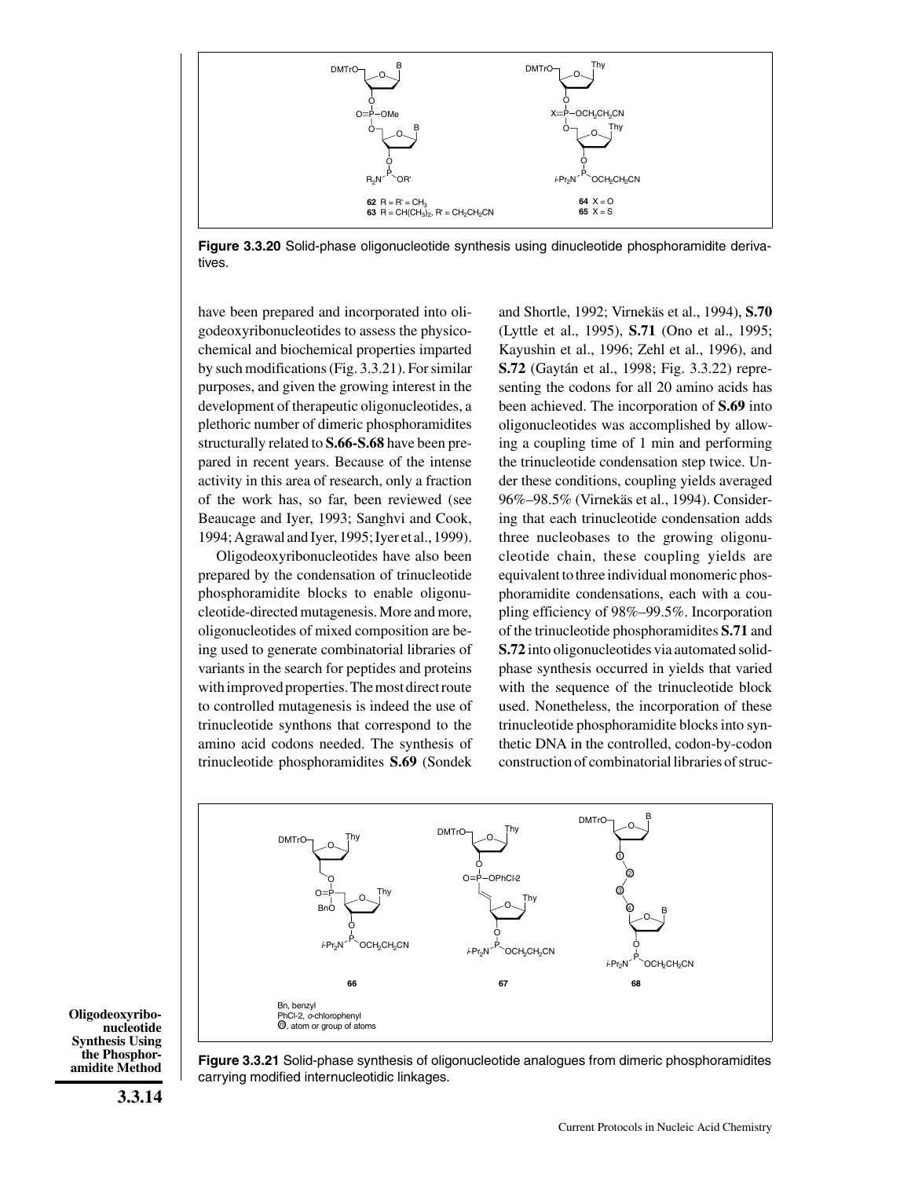

**Figure 3.3.20** Solid-phase oligonucleotide synthesis using dinucleotide phosphoramidite derivatives.

have been prepared and incorporated into oligodeoxyribonucleotides to assess the physicochemical and biochemical properties imparted by such modifications (Fig. 3.3.21). For similar purposes, and given the growing interest in the development of therapeutic oligonucleotides, a plethoric number of dimeric phosphoramidites structurally related to **S.66-S.68** have been prepared in recent years. Because of the intense activity in this area of research, only a fraction of the work has, so far, been reviewed (see Beaucage and Iyer, 1993; Sanghvi and Cook, 1994; Agrawal and Iyer, 1995; Iyer et al., 1999).

Oligodeoxyribonucleotides have also been prepared by the condensation of trinucleotide phosphoramidite blocks to enable oligonucleotide-directed mutagenesis. More and more, oligonucleotides of mixed composition are being used to generate combinatorial libraries of variants in the search for peptides and proteins with improved properties. The most direct route to controlled mutagenesis is indeed the use of trinucleotide synthons that correspond to the amino acid codons needed. The synthesis of trinucleotide phosphoramidites **S.69** (Sondek and Shortle, 1992; Virnekäs et al., 1994), **S.70** (Lyttle et al., 1995), **S.71** (Ono et al., 1995; Kayushin et al., 1996; Zehl et al., 1996), and **S.72** (Gaytán et al., 1998; Fig. 3.3.22) representing the codons for all 20 amino acids has been achieved. The incorporation of **S.69** into oligonucleotides was accomplished by allowing a coupling time of 1 min and performing the trinucleotide condensation step twice. Under these conditions, coupling yields averaged 96%–98.5% (Virnekäs et al., 1994). Considering that each trinucleotide condensation adds three nucleobases to the growing oligonucleotide chain, these coupling yields are equivalent to three individual monomeric phosphoramidite condensations, each with a coupling efficiency of 98%–99.5%. Incorporation of the trinucleotide phosphoramidites **S.71** and **S.72** into oligonucleotides via automated solidphase synthesis occurred in yields that varied with the sequence of the trinucleotide block used. Nonetheless, the incorporation of these trinucleotide phosphoramidite blocks into synthetic DNA in the controlled, codon-by-codon construction of combinatorial libraries of struc-



**Oligodeoxyribonucleotide Synthesis Using the Phosphoramidite Method**

**Figure 3.3.21** Solid-phase synthesis of oligonucleotide analogues from dimeric phosphoramidites carrying modified internucleotidic linkages.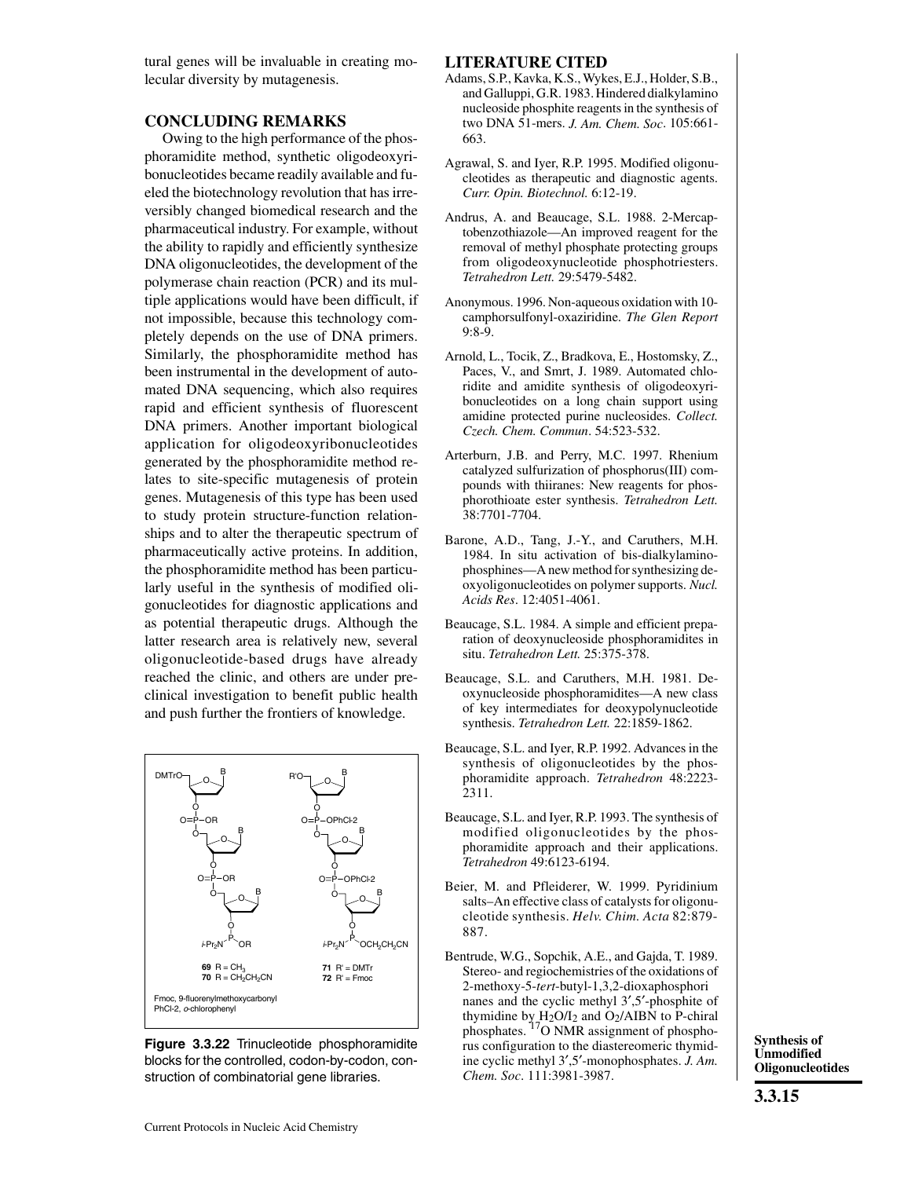tural genes will be invaluable in creating molecular diversity by mutagenesis.

#### **CONCLUDING REMARKS**

Owing to the high performance of the phosphoramidite method, synthetic oligodeoxyribonucleotides became readily available and fueled the biotechnology revolution that has irreversibly changed biomedical research and the pharmaceutical industry. For example, without the ability to rapidly and efficiently synthesize DNA oligonucleotides, the development of the polymerase chain reaction (PCR) and its multiple applications would have been difficult, if not impossible, because this technology completely depends on the use of DNA primers. Similarly, the phosphoramidite method has been instrumental in the development of automated DNA sequencing, which also requires rapid and efficient synthesis of fluorescent DNA primers. Another important biological application for oligodeoxyribonucleotides generated by the phosphoramidite method relates to site-specific mutagenesis of protein genes. Mutagenesis of this type has been used to study protein structure-function relationships and to alter the therapeutic spectrum of pharmaceutically active proteins. In addition, the phosphoramidite method has been particularly useful in the synthesis of modified oligonucleotides for diagnostic applications and as potential therapeutic drugs. Although the latter research area is relatively new, several oligonucleotide-based drugs have already reached the clinic, and others are under preclinical investigation to benefit public health and push further the frontiers of knowledge.



**Figure 3.3.22** Trinucleotide phosphoramidite blocks for the controlled, codon-by-codon, construction of combinatorial gene libraries.

#### **LITERATURE CITED**

- Adams, S.P., Kavka, K.S., Wykes, E.J., Holder, S.B., and Galluppi, G.R. 1983. Hindered dialkylamino nucleoside phosphite reagents in the synthesis of two DNA 51-mers. *J. Am. Chem. Soc*. 105:661- 663.
- Agrawal, S. and Iyer, R.P. 1995. Modified oligonucleotides as therapeutic and diagnostic agents. *Curr. Opin. Biotechnol.* 6:12-19.
- Andrus, A. and Beaucage, S.L. 1988. 2-Mercaptobenzothiazole—An improved reagent for the removal of methyl phosphate protecting groups from oligodeoxynucleotide phosphotriesters. *Tetrahedron Lett.* 29:5479-5482.
- Anonymous. 1996. Non-aqueous oxidation with 10 camphorsulfonyl-oxaziridine. *The Glen Report* 9:8-9.
- Arnold, L., Tocik, Z., Bradkova, E., Hostomsky, Z., Paces, V., and Smrt, J. 1989. Automated chloridite and amidite synthesis of oligodeoxyribonucleotides on a long chain support using amidine protected purine nucleosides. *Collect. Czech. Chem. Commun*. 54:523-532.
- Arterburn, J.B. and Perry, M.C. 1997. Rhenium catalyzed sulfurization of phosphorus(III) compounds with thiiranes: New reagents for phosphorothioate ester synthesis. *Tetrahedron Lett.* 38:7701-7704.
- Barone, A.D., Tang, J.-Y., and Caruthers, M.H. 1984. In situ activation of bis-dialkylaminophosphines—A new method for synthesizing deoxyoligonucleotides on polymer supports. *Nucl. Acids Res*. 12:4051-4061.
- Beaucage, S.L. 1984. A simple and efficient preparation of deoxynucleoside phosphoramidites in situ. *Tetrahedron Lett.* 25:375-378.
- Beaucage, S.L. and Caruthers, M.H. 1981. Deoxynucleoside phosphoramidites—A new class of key intermediates for deoxypolynucleotide synthesis. *Tetrahedron Lett.* 22:1859-1862.
- Beaucage, S.L. and Iyer, R.P. 1992. Advances in the synthesis of oligonucleotides by the phosphoramidite approach. *Tetrahedron* 48:2223- 2311.
- Beaucage, S.L. and Iyer, R.P. 1993. The synthesis of modified oligonucleotides by the phosphoramidite approach and their applications. *Tetrahedron* 49:6123-6194.
- Beier, M. and Pfleiderer, W. 1999. Pyridinium salts–An effective class of catalysts for oligonucleotide synthesis. *Helv. Chim. Acta* 82:879- 887.
- Bentrude, W.G., Sopchik, A.E., and Gajda, T. 1989. Stereo- and regiochemistries of the oxidations of 2-methoxy-5-*tert*-butyl-1,3,2-dioxaphosphori nanes and the cyclic methyl 3′,5′-phosphite of thymidine by  $H_2O/I_2$  and  $O_2/AIBN$  to P-chiral phosphates.  ${}^{17}O$  NMR assignment of phosphorus configuration to the diastereomeric thymidine cyclic methyl 3′,5′-monophosphates. *J. Am. Chem. Soc*. 111:3981-3987.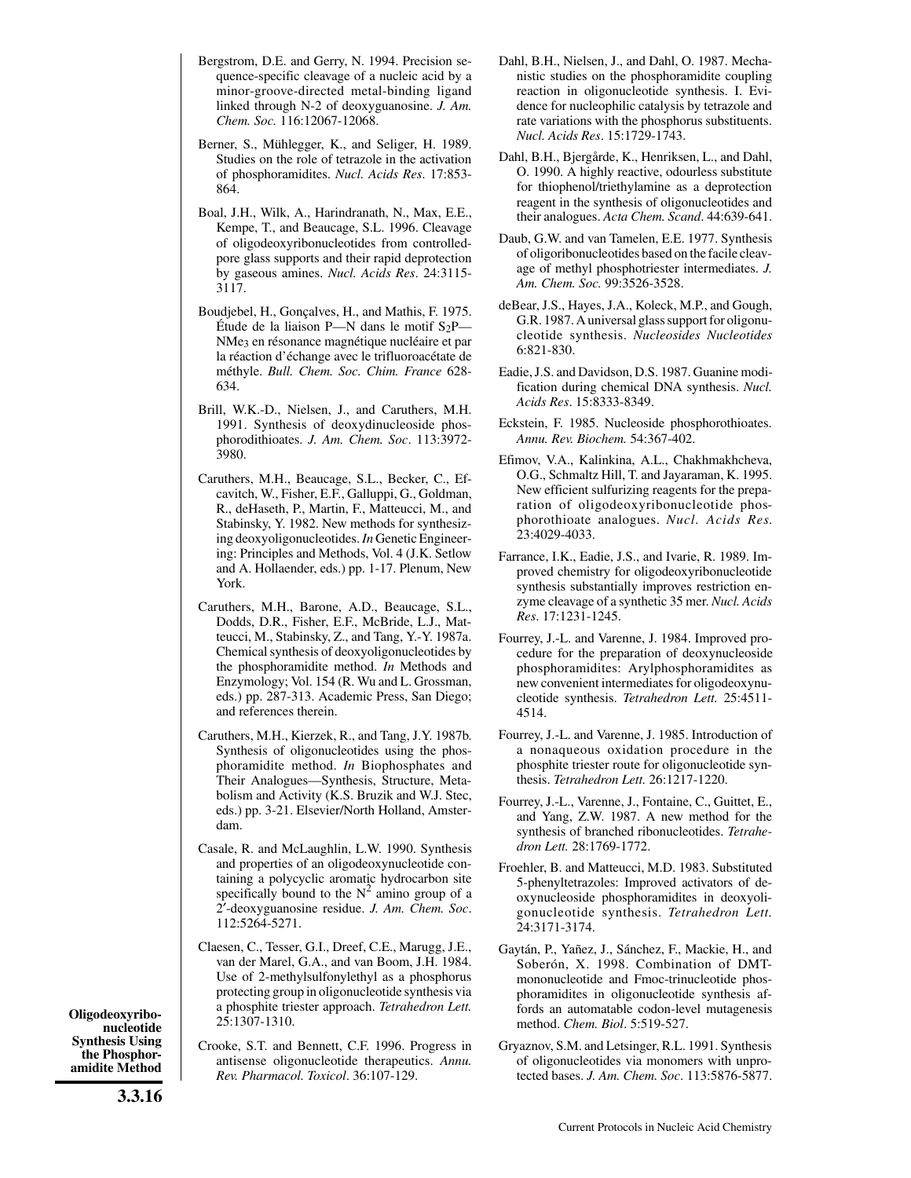- Bergstrom, D.E. and Gerry, N. 1994. Precision sequence-specific cleavage of a nucleic acid by a minor-groove-directed metal-binding ligand linked through N-2 of deoxyguanosine. *J. Am. Chem. Soc.* 116:12067-12068.
- Berner, S., Mühlegger, K., and Seliger, H. 1989. Studies on the role of tetrazole in the activation of phosphoramidites. *Nucl. Acids Res*. 17:853- 864.
- Boal, J.H., Wilk, A., Harindranath, N., Max, E.E., Kempe, T., and Beaucage, S.L. 1996. Cleavage of oligodeoxyribonucleotides from controlledpore glass supports and their rapid deprotection by gaseous amines. *Nucl. Acids Res*. 24:3115- 3117.
- Boudjebel, H., Gonçalves, H., and Mathis, F. 1975. Étude de la liaison P—N dans le motif  $S_2P$ — NMe3 en résonance magnétique nucléaire et par la réaction d'échange avec le trifluoroacétate de méthyle. *Bull. Chem. Soc. Chim. France* 628- 634.
- Brill, W.K.-D., Nielsen, J., and Caruthers, M.H. 1991. Synthesis of deoxydinucleoside phosphorodithioates. *J. Am. Chem. Soc*. 113:3972- 3980.
- Caruthers, M.H., Beaucage, S.L., Becker, C., Efcavitch, W., Fisher, E.F., Galluppi, G., Goldman, R., deHaseth, P., Martin, F., Matteucci, M., and Stabinsky, Y. 1982. New methods for synthesizing deoxyoligonucleotides. *In* Genetic Engineering: Principles and Methods, Vol. 4 (J.K. Setlow and A. Hollaender, eds.) pp. 1-17. Plenum, New York.
- Caruthers, M.H., Barone, A.D., Beaucage, S.L., Dodds, D.R., Fisher, E.F., McBride, L.J., Matteucci, M., Stabinsky, Z., and Tang, Y.-Y. 1987a. Chemical synthesis of deoxyoligonucleotides by the phosphoramidite method. *In* Methods and Enzymology; Vol. 154 (R. Wu and L. Grossman, eds.) pp. 287-313. Academic Press, San Diego; and references therein.
- Caruthers, M.H., Kierzek, R., and Tang, J.Y. 1987b. Synthesis of oligonucleotides using the phosphoramidite method. *In* Biophosphates and Their Analogues—Synthesis, Structure, Metabolism and Activity (K.S. Bruzik and W.J. Stec, eds.) pp. 3-21. Elsevier/North Holland, Amsterdam.
- Casale, R. and McLaughlin, L.W. 1990. Synthesis and properties of an oligodeoxynucleotide containing a polycyclic aromatic hydrocarbon site specifically bound to the  $N^2$  amino group of a 2′-deoxyguanosine residue. *J. Am. Chem. Soc*. 112:5264-5271.
- Claesen, C., Tesser, G.I., Dreef, C.E., Marugg, J.E., van der Marel, G.A., and van Boom, J.H. 1984. Use of 2-methylsulfonylethyl as a phosphorus protecting group in oligonucleotide synthesis via a phosphite triester approach. *Tetrahedron Lett.* 25:1307-1310.
- Crooke, S.T. and Bennett, C.F. 1996. Progress in antisense oligonucleotide therapeutics. *Annu. Rev. Pharmacol. Toxicol*. 36:107-129.
- Dahl, B.H., Nielsen, J., and Dahl, O. 1987. Mechanistic studies on the phosphoramidite coupling reaction in oligonucleotide synthesis. I. Evidence for nucleophilic catalysis by tetrazole and rate variations with the phosphorus substituents. *Nucl. Acids Res*. 15:1729-1743.
- Dahl, B.H., Bjergårde, K., Henriksen, L., and Dahl, O. 1990. A highly reactive, odourless substitute for thiophenol/triethylamine as a deprotection reagent in the synthesis of oligonucleotides and their analogues. *Acta Chem. Scand*. 44:639-641.
- Daub, G.W. and van Tamelen, E.E. 1977. Synthesis of oligoribonucleotides based on the facile cleavage of methyl phosphotriester intermediates. *J. Am. Chem. Soc.* 99:3526-3528.
- deBear, J.S., Hayes, J.A., Koleck, M.P., and Gough, G.R. 1987. A universal glass support for oligonucleotide synthesis. *Nucleosides Nucleotides* 6:821-830.
- Eadie, J.S. and Davidson, D.S. 1987. Guanine modification during chemical DNA synthesis. *Nucl. Acids Res*. 15:8333-8349.
- Eckstein, F. 1985. Nucleoside phosphorothioates. *Annu. Rev. Biochem.* 54:367-402.
- Efimov, V.A., Kalinkina, A.L., Chakhmakhcheva, O.G., Schmaltz Hill, T. and Jayaraman, K. 1995. New efficient sulfurizing reagents for the preparation of oligodeoxyribonucleotide phosphorothioate analogues. *Nucl. Acids Res*. 23:4029-4033.
- Farrance, I.K., Eadie, J.S., and Ivarie, R. 1989. Improved chemistry for oligodeoxyribonucleotide synthesis substantially improves restriction enzyme cleavage of a synthetic 35 mer. *Nucl. Acids Res*. 17:1231-1245.
- Fourrey, J.-L. and Varenne, J. 1984. Improved procedure for the preparation of deoxynucleoside phosphoramidites: Arylphosphoramidites as new convenient intermediates for oligodeoxynucleotide synthesis. *Tetrahedron Lett.* 25:4511- 4514.
- Fourrey, J.-L. and Varenne, J. 1985. Introduction of a nonaqueous oxidation procedure in the phosphite triester route for oligonucleotide synthesis. *Tetrahedron Lett.* 26:1217-1220.
- Fourrey, J.-L., Varenne, J., Fontaine, C., Guittet, E., and Yang, Z.W. 1987. A new method for the synthesis of branched ribonucleotides. *Tetrahedron Lett.* 28:1769-1772.
- Froehler, B. and Matteucci, M.D. 1983. Substituted 5-phenyltetrazoles: Improved activators of deoxynucleoside phosphoramidites in deoxyoligonucleotide synthesis. *Tetrahedron Lett.* 24:3171-3174.
- Gaytán, P., Yañez, J., Sánchez, F., Mackie, H., and Soberón, X. 1998. Combination of DMTmononucleotide and Fmoc-trinucleotide phosphoramidites in oligonucleotide synthesis affords an automatable codon-level mutagenesis method. *Chem. Biol*. 5:519-527.
- Gryaznov, S.M. and Letsinger, R.L. 1991. Synthesis of oligonucleotides via monomers with unprotected bases. *J. Am. Chem. Soc*. 113:5876-5877.

**Oligodeoxyribonucleotide Synthesis Using the Phosphoramidite Method**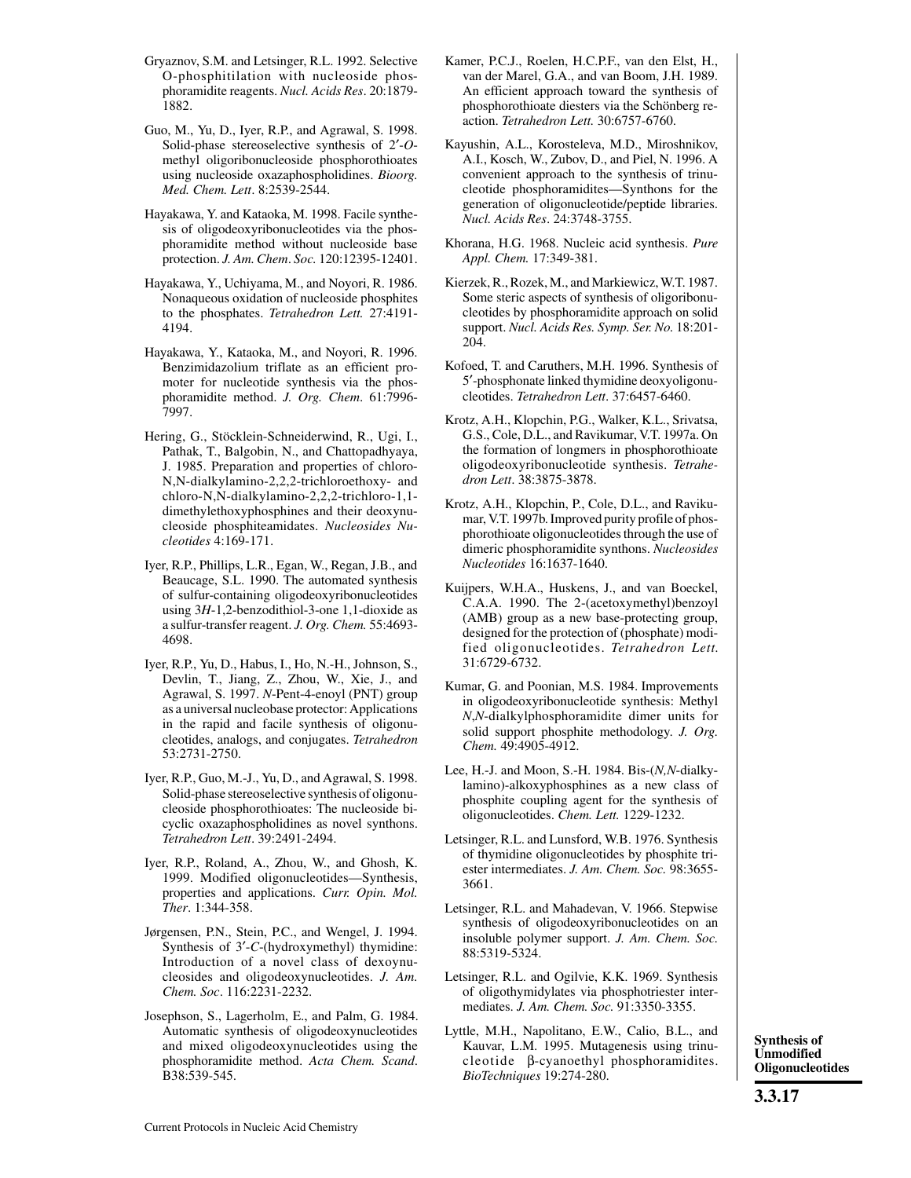- Gryaznov, S.M. and Letsinger, R.L. 1992. Selective O-phosphitilation with nucleoside phosphoramidite reagents. *Nucl. Acids Res*. 20:1879- 1882.
- Guo, M., Yu, D., Iyer, R.P., and Agrawal, S. 1998. Solid-phase stereoselective synthesis of 2′-*O*methyl oligoribonucleoside phosphorothioates using nucleoside oxazaphospholidines. *Bioorg. Med. Chem. Lett*. 8:2539-2544.
- Hayakawa, Y. and Kataoka, M. 1998. Facile synthesis of oligodeoxyribonucleotides via the phosphoramidite method without nucleoside base protection. *J. Am. Chem*. *Soc.* 120:12395-12401.
- Hayakawa, Y., Uchiyama, M., and Noyori, R. 1986. Nonaqueous oxidation of nucleoside phosphites to the phosphates. *Tetrahedron Lett.* 27:4191- 4194.
- Hayakawa, Y., Kataoka, M., and Noyori, R. 1996. Benzimidazolium triflate as an efficient promoter for nucleotide synthesis via the phosphoramidite method. *J. Org. Chem*. 61:7996- 7997.
- Hering, G., Stöcklein-Schneiderwind, R., Ugi, I., Pathak, T., Balgobin, N., and Chattopadhyaya, J. 1985. Preparation and properties of chloro-N,N-dialkylamino-2,2,2-trichloroethoxy- and chloro-N,N-dialkylamino-2,2,2-trichloro-1,1 dimethylethoxyphosphines and their deoxynucleoside phosphiteamidates. *Nucleosides Nucleotides* 4:169-171.
- Iyer, R.P., Phillips, L.R., Egan, W., Regan, J.B., and Beaucage, S.L. 1990. The automated synthesis of sulfur-containing oligodeoxyribonucleotides using 3*H*-1,2-benzodithiol-3-one 1,1-dioxide as a sulfur-transfer reagent. *J. Org. Chem.* 55:4693- 4698.
- Iyer, R.P., Yu, D., Habus, I., Ho, N.-H., Johnson, S., Devlin, T., Jiang, Z., Zhou, W., Xie, J., and Agrawal, S. 1997. *N*-Pent-4-enoyl (PNT) group as a universal nucleobase protector: Applications in the rapid and facile synthesis of oligonucleotides, analogs, and conjugates. *Tetrahedron* 53:2731-2750.
- Iyer, R.P., Guo, M.-J., Yu, D., and Agrawal, S. 1998. Solid-phase stereoselective synthesis of oligonucleoside phosphorothioates: The nucleoside bicyclic oxazaphospholidines as novel synthons. *Tetrahedron Lett*. 39:2491-2494.
- Iyer, R.P., Roland, A., Zhou, W., and Ghosh, K. 1999. Modified oligonucleotides—Synthesis, properties and applications. *Curr. Opin. Mol. Ther*. 1:344-358.
- Jørgensen, P.N., Stein, P.C., and Wengel, J. 1994. Synthesis of 3′-*C*-(hydroxymethyl) thymidine: Introduction of a novel class of dexoynucleosides and oligodeoxynucleotides. *J. Am. Chem. Soc*. 116:2231-2232.
- Josephson, S., Lagerholm, E., and Palm, G. 1984. Automatic synthesis of oligodeoxynucleotides and mixed oligodeoxynucleotides using the phosphoramidite method. *Acta Chem. Scand*. B38:539-545.
- Kamer, P.C.J., Roelen, H.C.P.F., van den Elst, H., van der Marel, G.A., and van Boom, J.H. 1989. An efficient approach toward the synthesis of phosphorothioate diesters via the Schönberg reaction. *Tetrahedron Lett.* 30:6757-6760.
- Kayushin, A.L., Korosteleva, M.D., Miroshnikov, A.I., Kosch, W., Zubov, D., and Piel, N. 1996. A convenient approach to the synthesis of trinucleotide phosphoramidites—Synthons for the generation of oligonucleotide/peptide libraries. *Nucl. Acids Res*. 24:3748-3755.
- Khorana, H.G. 1968. Nucleic acid synthesis. *Pure Appl. Chem.* 17:349-381.
- Kierzek, R., Rozek, M., and Markiewicz, W.T. 1987. Some steric aspects of synthesis of oligoribonucleotides by phosphoramidite approach on solid support. *Nucl. Acids Res. Symp. Ser. No.* 18:201- 204.
- Kofoed, T. and Caruthers, M.H. 1996. Synthesis of 5′-phosphonate linked thymidine deoxyoligonucleotides. *Tetrahedron Lett*. 37:6457-6460.
- Krotz, A.H., Klopchin, P.G., Walker, K.L., Srivatsa, G.S., Cole, D.L., and Ravikumar, V.T. 1997a. On the formation of longmers in phosphorothioate oligodeoxyribonucleotide synthesis. *Tetrahedron Lett*. 38:3875-3878.
- Krotz, A.H., Klopchin, P., Cole, D.L., and Ravikumar, V.T. 1997b. Improved purity profile of phosphorothioate oligonucleotides through the use of dimeric phosphoramidite synthons. *Nucleosides Nucleotides* 16:1637-1640.
- Kuijpers, W.H.A., Huskens, J., and van Boeckel, C.A.A. 1990. The 2-(acetoxymethyl)benzoyl (AMB) group as a new base-protecting group, designed for the protection of (phosphate) modified oligonucleotides. *Tetrahedron Lett*. 31:6729-6732.
- Kumar, G. and Poonian, M.S. 1984. Improvements in oligodeoxyribonucleotide synthesis: Methyl *N*,*N*-dialkylphosphoramidite dimer units for solid support phosphite methodology. *J. Org. Chem.* 49:4905-4912.
- Lee, H.-J. and Moon, S.-H. 1984. Bis-(*N,N*-dialkylamino)-alkoxyphosphines as a new class of phosphite coupling agent for the synthesis of oligonucleotides. *Chem. Lett.* 1229-1232.
- Letsinger, R.L. and Lunsford, W.B. 1976. Synthesis of thymidine oligonucleotides by phosphite triester intermediates. *J. Am. Chem. Soc.* 98:3655- 3661.
- Letsinger, R.L. and Mahadevan, V. 1966. Stepwise synthesis of oligodeoxyribonucleotides on an insoluble polymer support. *J. Am. Chem. Soc.* 88:5319-5324.
- Letsinger, R.L. and Ogilvie, K.K. 1969. Synthesis of oligothymidylates via phosphotriester intermediates. *J. Am. Chem. Soc.* 91:3350-3355.
- Lyttle, M.H., Napolitano, E.W., Calio, B.L., and Kauvar, L.M. 1995. Mutagenesis using trinucleotide β-cyanoethyl phosphoramidites. *BioTechniques* 19:274-280.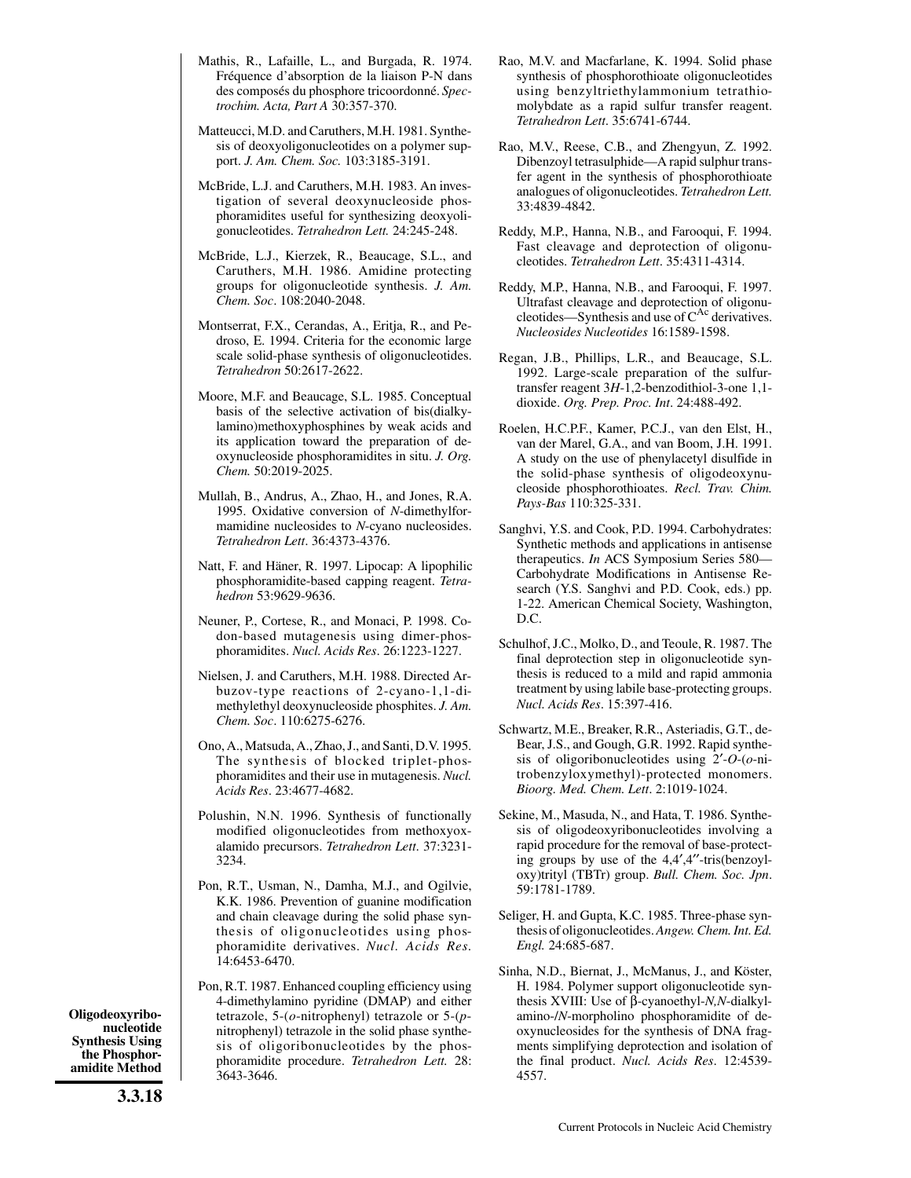- Mathis, R., Lafaille, L., and Burgada, R. 1974. Fréquence d'absorption de la liaison P-N dans des composés du phosphore tricoordonné. *Spectrochim. Acta, Part A* 30:357-370.
- Matteucci, M.D. and Caruthers, M.H. 1981. Synthesis of deoxyoligonucleotides on a polymer support. *J. Am. Chem. Soc.* 103:3185-3191.
- McBride, L.J. and Caruthers, M.H. 1983. An investigation of several deoxynucleoside phosphoramidites useful for synthesizing deoxyoligonucleotides. *Tetrahedron Lett.* 24:245-248.
- McBride, L.J., Kierzek, R., Beaucage, S.L., and Caruthers, M.H. 1986. Amidine protecting groups for oligonucleotide synthesis. *J. Am. Chem. Soc*. 108:2040-2048.
- Montserrat, F.X., Cerandas, A., Eritja, R., and Pedroso, E. 1994. Criteria for the economic large scale solid-phase synthesis of oligonucleotides. *Tetrahedron* 50:2617-2622.
- Moore, M.F. and Beaucage, S.L. 1985. Conceptual basis of the selective activation of bis(dialkylamino)methoxyphosphines by weak acids and its application toward the preparation of deoxynucleoside phosphoramidites in situ. *J. Org. Chem.* 50:2019-2025.
- Mullah, B., Andrus, A., Zhao, H., and Jones, R.A. 1995. Oxidative conversion of *N*-dimethylformamidine nucleosides to *N*-cyano nucleosides. *Tetrahedron Lett*. 36:4373-4376.
- Natt, F. and Häner, R. 1997. Lipocap: A lipophilic phosphoramidite-based capping reagent. *Tetrahedron* 53:9629-9636.
- Neuner, P., Cortese, R., and Monaci, P. 1998. Codon-based mutagenesis using dimer-phosphoramidites. *Nucl. Acids Res*. 26:1223-1227.
- Nielsen, J. and Caruthers, M.H. 1988. Directed Arbuzov-type reactions of 2-cyano-1,1-dimethylethyl deoxynucleoside phosphites. *J. Am. Chem. Soc*. 110:6275-6276.
- Ono, A., Matsuda, A., Zhao, J., and Santi, D.V. 1995. The synthesis of blocked triplet-phosphoramidites and their use in mutagenesis. *Nucl. Acids Res*. 23:4677-4682.
- Polushin, N.N. 1996. Synthesis of functionally modified oligonucleotides from methoxyoxalamido precursors. *Tetrahedron Lett*. 37:3231- 3234.
- Pon, R.T., Usman, N., Damha, M.J., and Ogilvie, K.K. 1986. Prevention of guanine modification and chain cleavage during the solid phase synthesis of oligonucleotides using phosphoramidite derivatives. *Nucl. Acids Res.* 14:6453-6470.
- Pon, R.T. 1987. Enhanced coupling efficiency using 4-dimethylamino pyridine (DMAP) and either tetrazole, 5-(*o*-nitrophenyl) tetrazole or 5-(*p*nitrophenyl) tetrazole in the solid phase synthesis of oligoribonucleotides by the phosphoramidite procedure. *Tetrahedron Lett.* 28: 3643-3646.
- Rao, M.V. and Macfarlane, K. 1994. Solid phase synthesis of phosphorothioate oligonucleotides using benzyltriethylammonium tetrathiomolybdate as a rapid sulfur transfer reagent. *Tetrahedron Lett*. 35:6741-6744.
- Rao, M.V., Reese, C.B., and Zhengyun, Z. 1992. Dibenzoyl tetrasulphide—A rapid sulphur transfer agent in the synthesis of phosphorothioate analogues of oligonucleotides. *Tetrahedron Lett.* 33:4839-4842.
- Reddy, M.P., Hanna, N.B., and Farooqui, F. 1994. Fast cleavage and deprotection of oligonucleotides. *Tetrahedron Lett*. 35:4311-4314.
- Reddy, M.P., Hanna, N.B., and Farooqui, F. 1997. Ultrafast cleavage and deprotection of oligonucleotides—Synthesis and use of  $C^{Ac}$  derivatives. *Nucleosides Nucleotides* 16:1589-1598.
- Regan, J.B., Phillips, L.R., and Beaucage, S.L. 1992. Large-scale preparation of the sulfurtransfer reagent 3*H*-1,2-benzodithiol-3-one 1,1 dioxide. *Org. Prep. Proc. Int*. 24:488-492.
- Roelen, H.C.P.F., Kamer, P.C.J., van den Elst, H., van der Marel, G.A., and van Boom, J.H. 1991. A study on the use of phenylacetyl disulfide in the solid-phase synthesis of oligodeoxynucleoside phosphorothioates. *Recl. Trav. Chim. Pays-Bas* 110:325-331.
- Sanghvi, Y.S. and Cook, P.D. 1994. Carbohydrates: Synthetic methods and applications in antisense therapeutics. *In* ACS Symposium Series 580— Carbohydrate Modifications in Antisense Research (Y.S. Sanghvi and P.D. Cook, eds.) pp. 1-22. American Chemical Society, Washington, D.C.
- Schulhof, J.C., Molko, D., and Teoule, R. 1987. The final deprotection step in oligonucleotide synthesis is reduced to a mild and rapid ammonia treatment by using labile base-protecting groups. *Nucl. Acids Res*. 15:397-416.
- Schwartz, M.E., Breaker, R.R., Asteriadis, G.T., de-Bear, J.S., and Gough, G.R. 1992. Rapid synthesis of oligoribonucleotides using 2′-*O*-(*o*-nitrobenzyloxymethyl)-protected monomers. *Bioorg. Med. Chem. Lett*. 2:1019-1024.
- Sekine, M., Masuda, N., and Hata, T. 1986. Synthesis of oligodeoxyribonucleotides involving a rapid procedure for the removal of base-protecting groups by use of the 4,4′,4′′-tris(benzoyloxy)trityl (TBTr) group. *Bull. Chem. Soc. Jpn*. 59:1781-1789.
- Seliger, H. and Gupta, K.C. 1985. Three-phase synthesis of oligonucleotides. *Angew. Chem. Int. Ed. Engl.* 24:685-687.
- Sinha, N.D., Biernat, J., McManus, J., and Köster, H. 1984. Polymer support oligonucleotide synthesis XVIII: Use of β-cyanoethyl-*N,N*-dialkylamino-/*N*-morpholino phosphoramidite of deoxynucleosides for the synthesis of DNA fragments simplifying deprotection and isolation of the final product. *Nucl. Acids Res*. 12:4539- 4557.

**Oligodeoxyribonucleotide Synthesis Using the Phosphoramidite Method**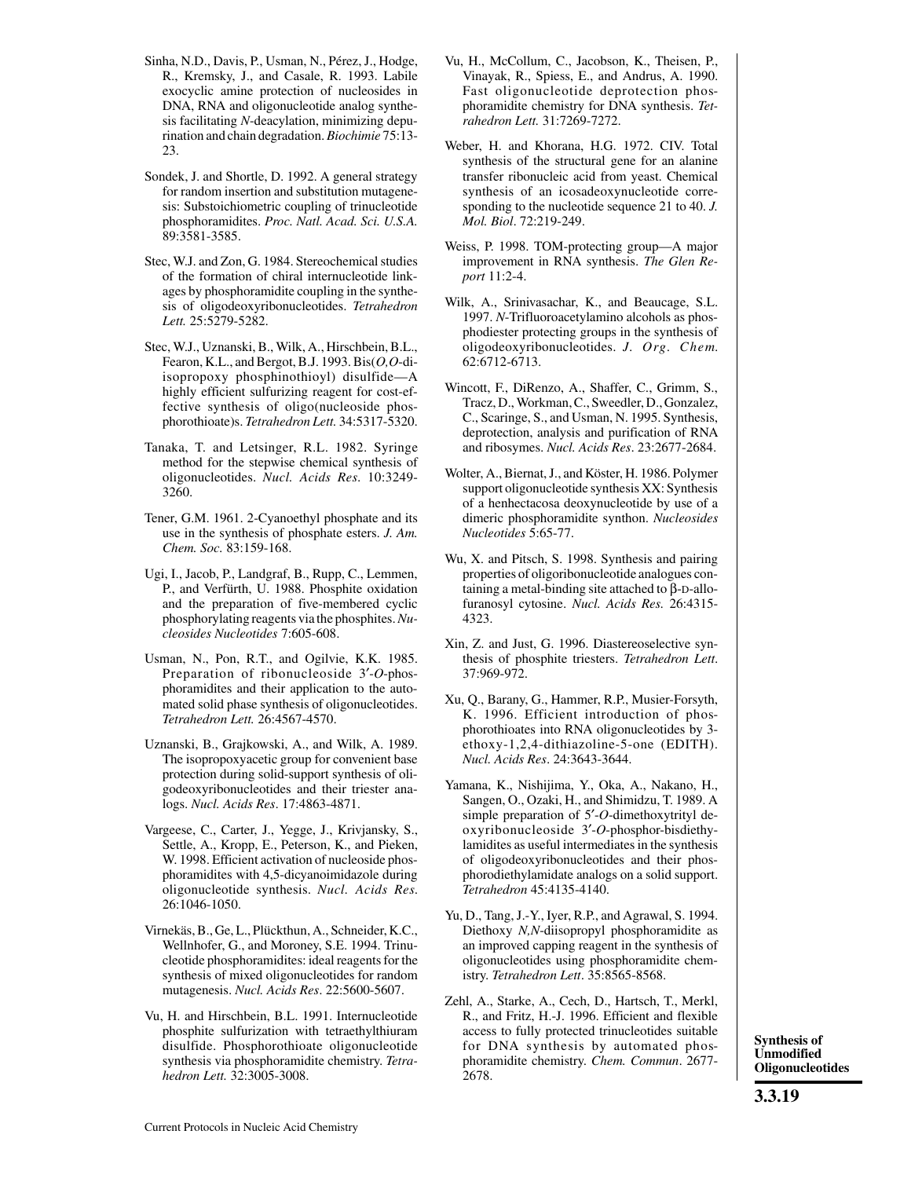- Sinha, N.D., Davis, P., Usman, N., Pérez, J., Hodge, R., Kremsky, J., and Casale, R. 1993. Labile exocyclic amine protection of nucleosides in DNA, RNA and oligonucleotide analog synthesis facilitating *N*-deacylation, minimizing depurination and chain degradation. *Biochimie* 75:13- 23.
- Sondek, J. and Shortle, D. 1992. A general strategy for random insertion and substitution mutagenesis: Substoichiometric coupling of trinucleotide phosphoramidites. *Proc. Natl. Acad. Sci. U.S.A.* 89:3581-3585.
- Stec, W.J. and Zon, G. 1984. Stereochemical studies of the formation of chiral internucleotide linkages by phosphoramidite coupling in the synthesis of oligodeoxyribonucleotides. *Tetrahedron Lett.* 25:5279-5282.
- Stec, W.J., Uznanski, B., Wilk, A., Hirschbein, B.L., Fearon, K.L., and Bergot, B.J. 1993. Bis(*O,O*-diisopropoxy phosphinothioyl) disulfide—A highly efficient sulfurizing reagent for cost-effective synthesis of oligo(nucleoside phosphorothioate)s. *Tetrahedron Lett.* 34:5317-5320.
- Tanaka, T. and Letsinger, R.L. 1982. Syringe method for the stepwise chemical synthesis of oligonucleotides. *Nucl. Acids Res*. 10:3249- 3260.
- Tener, G.M. 1961. 2-Cyanoethyl phosphate and its use in the synthesis of phosphate esters. *J. Am. Chem. Soc.* 83:159-168.
- Ugi, I., Jacob, P., Landgraf, B., Rupp, C., Lemmen, P., and Verfürth, U. 1988. Phosphite oxidation and the preparation of five-membered cyclic phosphorylating reagents via the phosphites. *Nucleosides Nucleotides* 7:605-608.
- Usman, N., Pon, R.T., and Ogilvie, K.K. 1985. Preparation of ribonucleoside 3′-*O*-phosphoramidites and their application to the automated solid phase synthesis of oligonucleotides. *Tetrahedron Lett.* 26:4567-4570.
- Uznanski, B., Grajkowski, A., and Wilk, A. 1989. The isopropoxyacetic group for convenient base protection during solid-support synthesis of oligodeoxyribonucleotides and their triester analogs. *Nucl. Acids Res*. 17:4863-4871.
- Vargeese, C., Carter, J., Yegge, J., Krivjansky, S., Settle, A., Kropp, E., Peterson, K., and Pieken, W. 1998. Efficient activation of nucleoside phosphoramidites with 4,5-dicyanoimidazole during oligonucleotide synthesis. *Nucl. Acids Res*. 26:1046-1050.
- Virnekäs, B., Ge, L., Plückthun, A., Schneider, K.C., Wellnhofer, G., and Moroney, S.E. 1994. Trinucleotide phosphoramidites: ideal reagents for the synthesis of mixed oligonucleotides for random mutagenesis. *Nucl. Acids Res*. 22:5600-5607.
- Vu, H. and Hirschbein, B.L. 1991. Internucleotide phosphite sulfurization with tetraethylthiuram disulfide. Phosphorothioate oligonucleotide synthesis via phosphoramidite chemistry. *Tetrahedron Lett.* 32:3005-3008.
- Vu, H., McCollum, C., Jacobson, K., Theisen, P., Vinayak, R., Spiess, E., and Andrus, A. 1990. Fast oligonucleotide deprotection phosphoramidite chemistry for DNA synthesis. *Tetrahedron Lett.* 31:7269-7272.
- Weber, H. and Khorana, H.G. 1972. CIV. Total synthesis of the structural gene for an alanine transfer ribonucleic acid from yeast. Chemical synthesis of an icosadeoxynucleotide corresponding to the nucleotide sequence 21 to 40. *J. Mol. Biol*. 72:219-249.
- Weiss, P. 1998. TOM-protecting group—A major improvement in RNA synthesis. *The Glen Report* 11:2-4.
- Wilk, A., Srinivasachar, K., and Beaucage, S.L. 1997. *N*-Trifluoroacetylamino alcohols as phosphodiester protecting groups in the synthesis of oligodeoxyribonucleotides. *J. Org. Chem*. 62:6712-6713.
- Wincott, F., DiRenzo, A., Shaffer, C., Grimm, S., Tracz, D., Workman, C., Sweedler, D., Gonzalez, C., Scaringe, S., and Usman, N. 1995. Synthesis, deprotection, analysis and purification of RNA and ribosymes. *Nucl. Acids Res*. 23:2677-2684.
- Wolter, A., Biernat, J., and Köster, H. 1986. Polymer support oligonucleotide synthesis XX: Synthesis of a henhectacosa deoxynucleotide by use of a dimeric phosphoramidite synthon. *Nucleosides Nucleotides* 5:65-77.
- Wu, X. and Pitsch, S. 1998. Synthesis and pairing properties of oligoribonucleotide analogues containing a metal-binding site attached to β-D-allofuranosyl cytosine. *Nucl. Acids Res.* 26:4315- 4323.
- Xin, Z. and Just, G. 1996. Diastereoselective synthesis of phosphite triesters. *Tetrahedron Lett*. 37:969-972.
- Xu, Q., Barany, G., Hammer, R.P., Musier-Forsyth, K. 1996. Efficient introduction of phosphorothioates into RNA oligonucleotides by 3 ethoxy-1,2,4-dithiazoline-5-one (EDITH). *Nucl. Acids Res*. 24:3643-3644.
- Yamana, K., Nishijima, Y., Oka, A., Nakano, H., Sangen, O., Ozaki, H., and Shimidzu, T. 1989. A simple preparation of 5′-*O*-dimethoxytrityl deoxyribonucleoside 3′-*O*-phosphor-bisdiethylamidites as useful intermediates in the synthesis of oligodeoxyribonucleotides and their phosphorodiethylamidate analogs on a solid support. *Tetrahedron* 45:4135-4140.
- Yu, D., Tang, J.-Y., Iyer, R.P., and Agrawal, S. 1994. Diethoxy *N,N*-diisopropyl phosphoramidite as an improved capping reagent in the synthesis of oligonucleotides using phosphoramidite chemistry. *Tetrahedron Lett*. 35:8565-8568.
- Zehl, A., Starke, A., Cech, D., Hartsch, T., Merkl, R., and Fritz, H.-J. 1996. Efficient and flexible access to fully protected trinucleotides suitable for DNA synthesis by automated phosphoramidite chemistry. *Chem. Commun*. 2677- 2678.